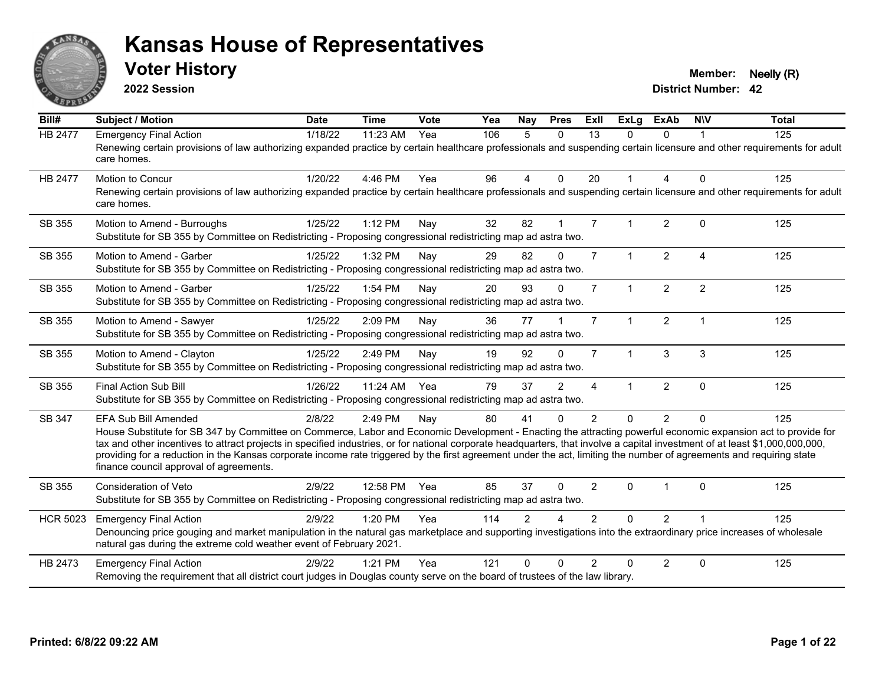

**2022 Session**

**Voter History Member: Neelly (R)** 

| Bill#           | Subject / Motion                                                                                                                                                                                                                                                                                                                                                                                                                                                                                                                                                                            | <b>Date</b> | <b>Time</b> | Vote | Yea | <b>Nay</b>     | <b>Pres</b>    | ExII           | <b>ExLg</b>  | <b>ExAb</b>    | <b>NIV</b>     | <b>Total</b> |
|-----------------|---------------------------------------------------------------------------------------------------------------------------------------------------------------------------------------------------------------------------------------------------------------------------------------------------------------------------------------------------------------------------------------------------------------------------------------------------------------------------------------------------------------------------------------------------------------------------------------------|-------------|-------------|------|-----|----------------|----------------|----------------|--------------|----------------|----------------|--------------|
| HB 2477         | <b>Emergency Final Action</b><br>Renewing certain provisions of law authorizing expanded practice by certain healthcare professionals and suspending certain licensure and other requirements for adult<br>care homes.                                                                                                                                                                                                                                                                                                                                                                      | 1/18/22     | 11:23 AM    | Yea  | 106 | 5              | $\Omega$       | 13             | $\Omega$     | $\Omega$       |                | 125          |
| <b>HB 2477</b>  | Motion to Concur<br>Renewing certain provisions of law authorizing expanded practice by certain healthcare professionals and suspending certain licensure and other requirements for adult<br>care homes.                                                                                                                                                                                                                                                                                                                                                                                   | 1/20/22     | 4:46 PM     | Yea  | 96  | $\overline{4}$ | $\mathbf{0}$   | 20             | 1            | 4              | $\Omega$       | 125          |
| SB 355          | Motion to Amend - Burroughs<br>Substitute for SB 355 by Committee on Redistricting - Proposing congressional redistricting map ad astra two.                                                                                                                                                                                                                                                                                                                                                                                                                                                | 1/25/22     | 1:12 PM     | Nay  | 32  | 82             | $\mathbf{1}$   | $\overline{7}$ |              | $\overline{2}$ | $\Omega$       | 125          |
| SB 355          | Motion to Amend - Garber<br>Substitute for SB 355 by Committee on Redistricting - Proposing congressional redistricting map ad astra two.                                                                                                                                                                                                                                                                                                                                                                                                                                                   | 1/25/22     | 1:32 PM     | Nay  | 29  | 82             | $\Omega$       | $\overline{7}$ | $\mathbf{1}$ | $\overline{2}$ | $\overline{A}$ | 125          |
| SB 355          | Motion to Amend - Garber<br>Substitute for SB 355 by Committee on Redistricting - Proposing congressional redistricting map ad astra two.                                                                                                                                                                                                                                                                                                                                                                                                                                                   | 1/25/22     | 1:54 PM     | Nay  | 20  | 93             | $\Omega$       | $\overline{7}$ | $\mathbf{1}$ | $\overline{2}$ | $\overline{2}$ | 125          |
| SB 355          | Motion to Amend - Sawyer<br>Substitute for SB 355 by Committee on Redistricting - Proposing congressional redistricting map ad astra two.                                                                                                                                                                                                                                                                                                                                                                                                                                                   | 1/25/22     | 2:09 PM     | Nay  | 36  | 77             |                | $\overline{7}$ | $\mathbf{1}$ | $\overline{2}$ | $\mathbf{1}$   | 125          |
| SB 355          | Motion to Amend - Clayton<br>Substitute for SB 355 by Committee on Redistricting - Proposing congressional redistricting map ad astra two.                                                                                                                                                                                                                                                                                                                                                                                                                                                  | 1/25/22     | 2:49 PM     | Nay  | 19  | 92             | $\Omega$       | $\overline{7}$ | $\mathbf{1}$ | 3              | 3              | 125          |
| SB 355          | Final Action Sub Bill<br>Substitute for SB 355 by Committee on Redistricting - Proposing congressional redistricting map ad astra two.                                                                                                                                                                                                                                                                                                                                                                                                                                                      | 1/26/22     | 11:24 AM    | Yea  | 79  | 37             | $\mathfrak{p}$ | 4              | 1            | $\overline{2}$ | $\Omega$       | 125          |
| SB 347          | EFA Sub Bill Amended<br>House Substitute for SB 347 by Committee on Commerce, Labor and Economic Development - Enacting the attracting powerful economic expansion act to provide for<br>tax and other incentives to attract projects in specified industries, or for national corporate headquarters, that involve a capital investment of at least \$1,000,000,000,000,<br>providing for a reduction in the Kansas corporate income rate triggered by the first agreement under the act, limiting the number of agreements and requiring state<br>finance council approval of agreements. | 2/8/22      | 2:49 PM     | Nay  | 80  | 41             | $\Omega$       | $\overline{2}$ | $\Omega$     | $\overline{2}$ | $\Omega$       | 125          |
| SB 355          | Consideration of Veto<br>Substitute for SB 355 by Committee on Redistricting - Proposing congressional redistricting map ad astra two.                                                                                                                                                                                                                                                                                                                                                                                                                                                      | 2/9/22      | 12:58 PM    | Yea  | 85  | 37             | $\Omega$       | 2              | $\Omega$     |                | $\Omega$       | 125          |
| <b>HCR 5023</b> | <b>Emergency Final Action</b><br>Denouncing price gouging and market manipulation in the natural gas marketplace and supporting investigations into the extraordinary price increases of wholesale<br>natural gas during the extreme cold weather event of February 2021.                                                                                                                                                                                                                                                                                                                   | 2/9/22      | 1:20 PM     | Yea  | 114 | $\mathfrak{p}$ |                | $\mathcal{P}$  | $\Omega$     | $\overline{2}$ |                | 125          |
| HB 2473         | <b>Emergency Final Action</b><br>Removing the requirement that all district court judges in Douglas county serve on the board of trustees of the law library.                                                                                                                                                                                                                                                                                                                                                                                                                               | 2/9/22      | $1:21$ PM   | Yea  | 121 | U              |                | $\mathfrak{D}$ | $\Omega$     | $\overline{2}$ | $\Omega$       | 125          |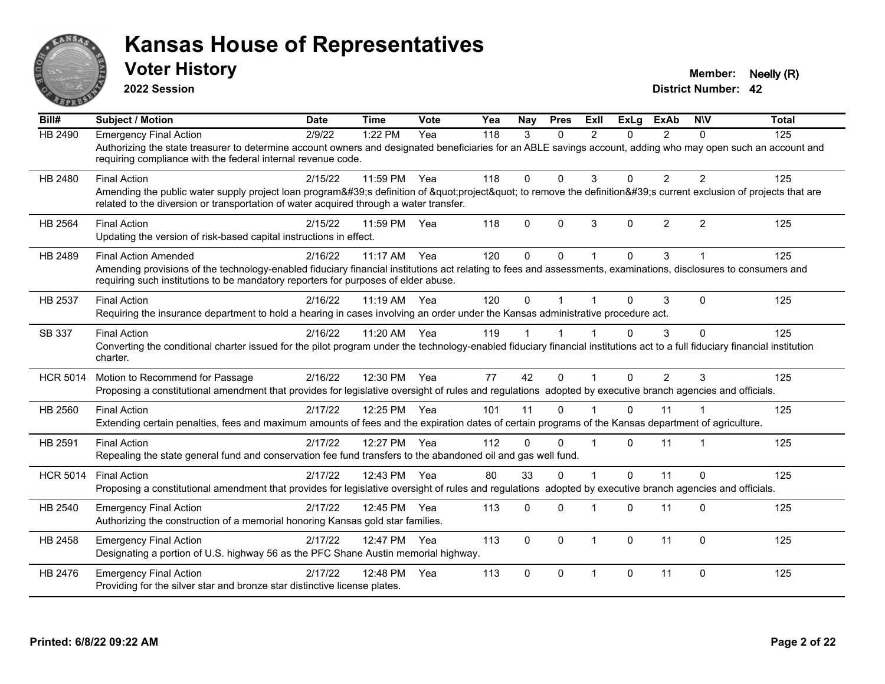

**2022 Session**

**Voter History Member: Neelly (R)** 

| Bill#           | <b>Subject / Motion</b>                                                                                                                                                                                                                                                              | <b>Date</b> | <b>Time</b> | <b>Vote</b> | Yea | <b>Nav</b> | <b>Pres</b> | ExIl           | <b>ExLa</b>  | <b>ExAb</b>    | <b>NIV</b>     | <b>Total</b> |
|-----------------|--------------------------------------------------------------------------------------------------------------------------------------------------------------------------------------------------------------------------------------------------------------------------------------|-------------|-------------|-------------|-----|------------|-------------|----------------|--------------|----------------|----------------|--------------|
| HB 2490         | <b>Emergency Final Action</b><br>Authorizing the state treasurer to determine account owners and designated beneficiaries for an ABLE savings account, adding who may open such an account and<br>requiring compliance with the federal internal revenue code.                       | 2/9/22      | 1:22 PM     | Yea         | 118 | 3          | $\Omega$    | $\mathfrak{p}$ | 0            | $\overline{2}$ | $\Omega$       | 125          |
| HB 2480         | <b>Final Action</b><br>Amending the public water supply project loan program's definition of "project" to remove the definition's current exclusion of projects that are<br>related to the diversion or transportation of water acquired through a water transfer.                   | 2/15/22     | 11:59 PM    | Yea         | 118 | $\Omega$   | $\Omega$    | 3              | $\Omega$     | $\overline{2}$ | $\overline{2}$ | 125          |
| <b>HB 2564</b>  | <b>Final Action</b><br>Updating the version of risk-based capital instructions in effect.                                                                                                                                                                                            | 2/15/22     | 11:59 PM    | Yea         | 118 | 0          | $\Omega$    | 3              | $\mathbf{0}$ | $\overline{2}$ | $\overline{2}$ | 125          |
| HB 2489         | <b>Final Action Amended</b><br>Amending provisions of the technology-enabled fiduciary financial institutions act relating to fees and assessments, examinations, disclosures to consumers and<br>requiring such institutions to be mandatory reporters for purposes of elder abuse. | 2/16/22     | 11:17 AM    | Yea         | 120 | $\Omega$   | $\Omega$    |                | $\Omega$     | 3              |                | 125          |
| HB 2537         | <b>Final Action</b><br>Requiring the insurance department to hold a hearing in cases involving an order under the Kansas administrative procedure act.                                                                                                                               | 2/16/22     | 11:19 AM    | Yea         | 120 | $\Omega$   |             |                | $\Omega$     | 3              | $\Omega$       | 125          |
| SB 337          | <b>Final Action</b><br>Converting the conditional charter issued for the pilot program under the technology-enabled fiduciary financial institutions act to a full fiduciary financial institution<br>charter.                                                                       | 2/16/22     | 11:20 AM    | Yea         | 119 |            |             |                | $\Omega$     | 3              | $\mathbf 0$    | 125          |
| <b>HCR 5014</b> | Motion to Recommend for Passage<br>Proposing a constitutional amendment that provides for legislative oversight of rules and regulations adopted by executive branch agencies and officials.                                                                                         | 2/16/22     | 12:30 PM    | Yea         | 77  | 42         | $\Omega$    |                | $\Omega$     | $\overline{2}$ | 3              | 125          |
| HB 2560         | <b>Final Action</b><br>Extending certain penalties, fees and maximum amounts of fees and the expiration dates of certain programs of the Kansas department of agriculture.                                                                                                           | 2/17/22     | 12:25 PM    | Yea         | 101 | 11         | $\Omega$    |                | $\Omega$     | 11             |                | 125          |
| HB 2591         | <b>Final Action</b><br>Repealing the state general fund and conservation fee fund transfers to the abandoned oil and gas well fund.                                                                                                                                                  | 2/17/22     | 12:27 PM    | Yea         | 112 | $\Omega$   | $\Omega$    |                | $\Omega$     | 11             |                | 125          |
| <b>HCR 5014</b> | <b>Final Action</b><br>Proposing a constitutional amendment that provides for legislative oversight of rules and regulations adopted by executive branch agencies and officials.                                                                                                     | 2/17/22     | 12:43 PM    | Yea         | 80  | 33         | $\Omega$    |                | $\Omega$     | 11             | $\mathbf 0$    | 125          |
| HB 2540         | <b>Emergency Final Action</b><br>Authorizing the construction of a memorial honoring Kansas gold star families.                                                                                                                                                                      | 2/17/22     | 12:45 PM    | Yea         | 113 | $\Omega$   | $\Omega$    |                | $\Omega$     | 11             | $\Omega$       | 125          |
| HB 2458         | <b>Emergency Final Action</b><br>Designating a portion of U.S. highway 56 as the PFC Shane Austin memorial highway.                                                                                                                                                                  | 2/17/22     | 12:47 PM    | Yea         | 113 | $\Omega$   | $\Omega$    | $\overline{1}$ | $\Omega$     | 11             | $\Omega$       | 125          |
| HB 2476         | <b>Emergency Final Action</b><br>Providing for the silver star and bronze star distinctive license plates.                                                                                                                                                                           | 2/17/22     | 12:48 PM    | Yea         | 113 | $\Omega$   | $\Omega$    | $\overline{1}$ | $\Omega$     | 11             | $\Omega$       | 125          |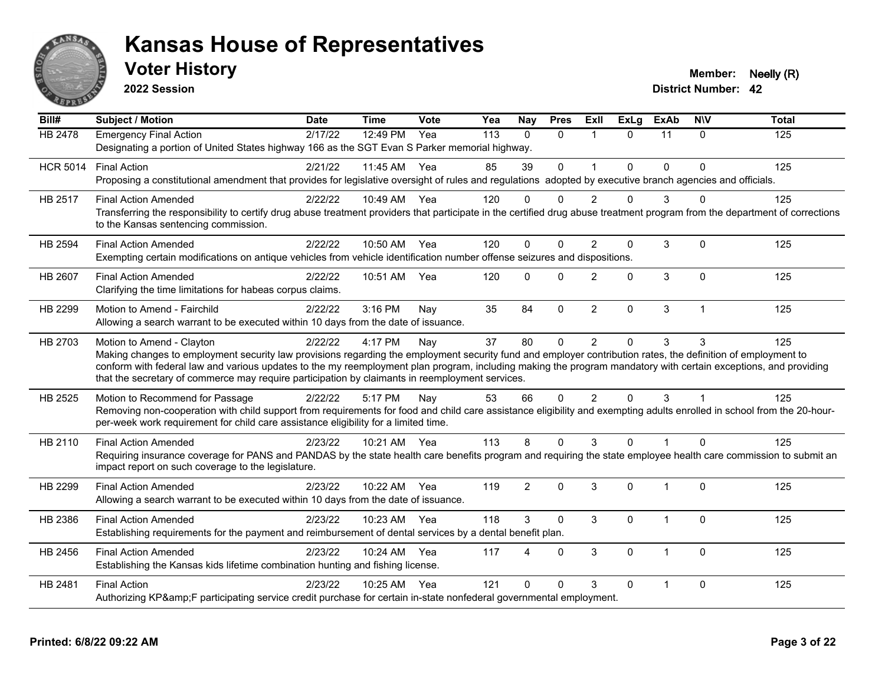

**2022 Session**

**Voter History Member: Neelly (R)** 

| $\overline{Bill#}$ | <b>Subject / Motion</b>                                                                                                                                                                                                                                       | <b>Date</b> | <b>Time</b>  | Vote | Yea | <b>Nay</b>     | <b>Pres</b>  | ExII           | $\overline{Ex}$ Lg | <b>ExAb</b>    | <b>NIV</b>     | <b>Total</b> |
|--------------------|---------------------------------------------------------------------------------------------------------------------------------------------------------------------------------------------------------------------------------------------------------------|-------------|--------------|------|-----|----------------|--------------|----------------|--------------------|----------------|----------------|--------------|
| <b>HB 2478</b>     | <b>Emergency Final Action</b>                                                                                                                                                                                                                                 | 2/17/22     | 12:49 PM     | Yea  | 113 | $\Omega$       | $\Omega$     | 1              | $\Omega$           | 11             | $\Omega$       | 125          |
|                    | Designating a portion of United States highway 166 as the SGT Evan S Parker memorial highway.                                                                                                                                                                 |             |              |      |     |                |              |                |                    |                |                |              |
| <b>HCR 5014</b>    | <b>Final Action</b>                                                                                                                                                                                                                                           | 2/21/22     | 11:45 AM Yea |      | 85  | 39             | $\mathbf{0}$ | 1              | $\Omega$           | $\mathbf{0}$   | $\Omega$       | 125          |
|                    | Proposing a constitutional amendment that provides for legislative oversight of rules and regulations adopted by executive branch agencies and officials.                                                                                                     |             |              |      |     |                |              |                |                    |                |                |              |
| HB 2517            | <b>Final Action Amended</b>                                                                                                                                                                                                                                   | 2/22/22     | 10:49 AM Yea |      | 120 | $\Omega$       | $\Omega$     | 2              | $\Omega$           | 3              | U              | 125          |
|                    | Transferring the responsibility to certify drug abuse treatment providers that participate in the certified drug abuse treatment program from the department of corrections<br>to the Kansas sentencing commission.                                           |             |              |      |     |                |              |                |                    |                |                |              |
| HB 2594            | <b>Final Action Amended</b>                                                                                                                                                                                                                                   | 2/22/22     | 10:50 AM Yea |      | 120 | $\Omega$       | $\Omega$     | $\mathfrak{p}$ | $\mathbf 0$        | 3              | $\Omega$       | 125          |
|                    | Exempting certain modifications on antique vehicles from vehicle identification number offense seizures and dispositions.                                                                                                                                     |             |              |      |     |                |              |                |                    |                |                |              |
| HB 2607            | <b>Final Action Amended</b>                                                                                                                                                                                                                                   | 2/22/22     | 10:51 AM     | Yea  | 120 | $\Omega$       | $\Omega$     | $\overline{2}$ | $\Omega$           | 3              | $\Omega$       | 125          |
|                    | Clarifying the time limitations for habeas corpus claims.                                                                                                                                                                                                     |             |              |      |     |                |              |                |                    |                |                |              |
| HB 2299            | Motion to Amend - Fairchild                                                                                                                                                                                                                                   | 2/22/22     | 3:16 PM      | Nay  | 35  | 84             | $\mathbf 0$  | $\overline{2}$ | 0                  | 3              | $\overline{1}$ | 125          |
|                    | Allowing a search warrant to be executed within 10 days from the date of issuance.                                                                                                                                                                            |             |              |      |     |                |              |                |                    |                |                |              |
| HB 2703            | Motion to Amend - Clayton                                                                                                                                                                                                                                     | 2/22/22     | 4:17 PM      | Nay  | 37  | 80             | $\mathbf 0$  | $\overline{2}$ | 0                  | 3              | 3              | 125          |
|                    | Making changes to employment security law provisions regarding the employment security fund and employer contribution rates, the definition of employment to                                                                                                  |             |              |      |     |                |              |                |                    |                |                |              |
|                    | conform with federal law and various updates to the my reemployment plan program, including making the program mandatory with certain exceptions, and providing                                                                                               |             |              |      |     |                |              |                |                    |                |                |              |
|                    | that the secretary of commerce may require participation by claimants in reemployment services.                                                                                                                                                               |             |              |      |     |                |              |                |                    |                |                |              |
| HB 2525            | Motion to Recommend for Passage                                                                                                                                                                                                                               | 2/22/22     | 5:17 PM      | Nay  | 53  | 66             | $\mathbf{0}$ | $\overline{2}$ | $\Omega$           | 3              |                | 125          |
|                    | Removing non-cooperation with child support from requirements for food and child care assistance eligibility and exempting adults enrolled in school from the 20-hour-<br>per-week work requirement for child care assistance eligibility for a limited time. |             |              |      |     |                |              |                |                    |                |                |              |
| HB 2110            | <b>Final Action Amended</b>                                                                                                                                                                                                                                   | 2/23/22     | 10:21 AM Yea |      | 113 | 8              | $\Omega$     | 3              | $\Omega$           | $\mathbf 1$    | $\Omega$       | 125          |
|                    | Requiring insurance coverage for PANS and PANDAS by the state health care benefits program and requiring the state employee health care commission to submit an<br>impact report on such coverage to the legislature.                                         |             |              |      |     |                |              |                |                    |                |                |              |
| HB 2299            | <b>Final Action Amended</b>                                                                                                                                                                                                                                   | 2/23/22     | 10:22 AM     | Yea  | 119 | $\overline{2}$ | $\mathbf{0}$ | 3              | $\Omega$           | 1              | $\Omega$       | 125          |
|                    | Allowing a search warrant to be executed within 10 days from the date of issuance.                                                                                                                                                                            |             |              |      |     |                |              |                |                    |                |                |              |
| HB 2386            | <b>Final Action Amended</b>                                                                                                                                                                                                                                   | 2/23/22     | 10:23 AM Yea |      | 118 | 3              | $\Omega$     | 3              | 0                  |                | $\Omega$       | 125          |
|                    | Establishing requirements for the payment and reimbursement of dental services by a dental benefit plan.                                                                                                                                                      |             |              |      |     |                |              |                |                    |                |                |              |
| HB 2456            | <b>Final Action Amended</b>                                                                                                                                                                                                                                   | 2/23/22     | 10:24 AM     | Yea  | 117 | Δ              | $\Omega$     | 3              | $\Omega$           |                | $\Omega$       | 125          |
|                    | Establishing the Kansas kids lifetime combination hunting and fishing license.                                                                                                                                                                                |             |              |      |     |                |              |                |                    |                |                |              |
| HB 2481            | <b>Final Action</b>                                                                                                                                                                                                                                           | 2/23/22     | 10:25 AM     | Yea  | 121 | $\Omega$       | $\Omega$     | 3              | $\Omega$           | $\overline{1}$ | $\Omega$       | 125          |
|                    | Authorizing KP&F participating service credit purchase for certain in-state nonfederal governmental employment.                                                                                                                                               |             |              |      |     |                |              |                |                    |                |                |              |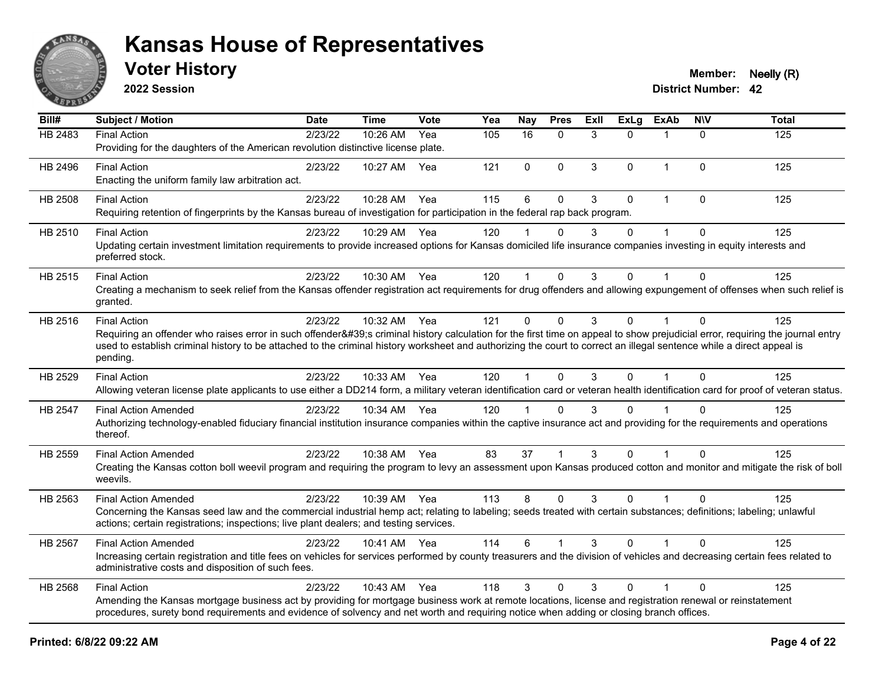

**2022 Session**

**Voter History Member: Neelly (R)** 

| Bill#   | <b>Subject / Motion</b>                                                                                                                                                                                                                                                                             | <b>Date</b> | Time         | <b>Vote</b> | Yea | <b>Nay</b>   | <b>Pres</b> | ExII | <b>ExLg</b>  | <b>ExAb</b>          | <b>NIV</b>   | <b>Total</b> |
|---------|-----------------------------------------------------------------------------------------------------------------------------------------------------------------------------------------------------------------------------------------------------------------------------------------------------|-------------|--------------|-------------|-----|--------------|-------------|------|--------------|----------------------|--------------|--------------|
| HB 2483 | <b>Final Action</b>                                                                                                                                                                                                                                                                                 | 2/23/22     | 10:26 AM     | Yea         | 105 | 16           | $\Omega$    | 3    | $\Omega$     | $\mathbf 1$          | $\Omega$     | 125          |
|         | Providing for the daughters of the American revolution distinctive license plate.                                                                                                                                                                                                                   |             |              |             |     |              |             |      |              |                      |              |              |
| HB 2496 | <b>Final Action</b>                                                                                                                                                                                                                                                                                 | 2/23/22     | 10:27 AM     | Yea         | 121 | $\mathbf 0$  | $\mathbf 0$ | 3    | $\mathbf{0}$ | $\mathbf{1}$         | $\mathbf{0}$ | 125          |
|         | Enacting the uniform family law arbitration act.                                                                                                                                                                                                                                                    |             |              |             |     |              |             |      |              |                      |              |              |
| HB 2508 | <b>Final Action</b>                                                                                                                                                                                                                                                                                 | 2/23/22     | 10:28 AM     | Yea         | 115 | 6            | $\mathbf 0$ | 3    | $\mathbf 0$  | $\mathbf{1}$         | $\mathbf 0$  | 125          |
|         | Requiring retention of fingerprints by the Kansas bureau of investigation for participation in the federal rap back program.                                                                                                                                                                        |             |              |             |     |              |             |      |              |                      |              |              |
| HB 2510 | <b>Final Action</b>                                                                                                                                                                                                                                                                                 | 2/23/22     | 10:29 AM Yea |             | 120 |              | $\Omega$    | 3    | $\mathbf 0$  |                      | $\mathbf{0}$ | 125          |
|         | Updating certain investment limitation requirements to provide increased options for Kansas domiciled life insurance companies investing in equity interests and                                                                                                                                    |             |              |             |     |              |             |      |              |                      |              |              |
|         | preferred stock.                                                                                                                                                                                                                                                                                    |             |              |             |     |              |             |      |              |                      |              |              |
| HB 2515 | <b>Final Action</b>                                                                                                                                                                                                                                                                                 | 2/23/22     | 10:30 AM Yea |             | 120 | $\mathbf 1$  | $\mathbf 0$ | 3    | 0            | 1                    | $\mathbf{0}$ | 125          |
|         | Creating a mechanism to seek relief from the Kansas offender registration act requirements for drug offenders and allowing expungement of offenses when such relief is                                                                                                                              |             |              |             |     |              |             |      |              |                      |              |              |
|         | granted.                                                                                                                                                                                                                                                                                            |             |              |             |     |              |             |      |              |                      |              |              |
| HB 2516 | <b>Final Action</b>                                                                                                                                                                                                                                                                                 | 2/23/22     | 10:32 AM     | Yea         | 121 | $\mathbf 0$  | $\mathbf 0$ | 3    | $\Omega$     | 1                    | $\mathbf{0}$ | 125          |
|         | Requiring an offender who raises error in such offender's criminal history calculation for the first time on appeal to show prejudicial error, requiring the journal entry                                                                                                                          |             |              |             |     |              |             |      |              |                      |              |              |
|         | used to establish criminal history to be attached to the criminal history worksheet and authorizing the court to correct an illegal sentence while a direct appeal is<br>pending.                                                                                                                   |             |              |             |     |              |             |      |              |                      |              |              |
|         |                                                                                                                                                                                                                                                                                                     |             |              |             |     |              |             |      |              |                      |              |              |
| HB 2529 | <b>Final Action</b>                                                                                                                                                                                                                                                                                 | 2/23/22     | 10:33 AM Yea |             | 120 | $\mathbf{1}$ | $\Omega$    | 3    | $\Omega$     | $\mathbf{1}$         | $\Omega$     | 125          |
|         | Allowing veteran license plate applicants to use either a DD214 form, a military veteran identification card or veteran health identification card for proof of veteran status.                                                                                                                     |             |              |             |     |              |             |      |              |                      |              |              |
| HB 2547 | <b>Final Action Amended</b>                                                                                                                                                                                                                                                                         | 2/23/22     | 10:34 AM Yea |             | 120 | 1            | $\Omega$    | 3    | $\mathbf{0}$ |                      | $\Omega$     | 125          |
|         | Authorizing technology-enabled fiduciary financial institution insurance companies within the captive insurance act and providing for the requirements and operations<br>thereof.                                                                                                                   |             |              |             |     |              |             |      |              |                      |              |              |
| HB 2559 | <b>Final Action Amended</b>                                                                                                                                                                                                                                                                         | 2/23/22     | 10:38 AM Yea |             | 83  | 37           |             | 3    | $\Omega$     |                      | $\Omega$     | 125          |
|         | Creating the Kansas cotton boll weevil program and requiring the program to levy an assessment upon Kansas produced cotton and monitor and mitigate the risk of boll                                                                                                                                |             |              |             |     |              |             |      |              |                      |              |              |
|         | weevils.                                                                                                                                                                                                                                                                                            |             |              |             |     |              |             |      |              |                      |              |              |
| HB 2563 | <b>Final Action Amended</b>                                                                                                                                                                                                                                                                         | 2/23/22     | 10:39 AM Yea |             | 113 | 8            | $\Omega$    | 3    | $\Omega$     | $\blacktriangleleft$ | $\Omega$     | 125          |
|         | Concerning the Kansas seed law and the commercial industrial hemp act; relating to labeling; seeds treated with certain substances; definitions; labeling; unlawful                                                                                                                                 |             |              |             |     |              |             |      |              |                      |              |              |
|         | actions; certain registrations; inspections; live plant dealers; and testing services.                                                                                                                                                                                                              |             |              |             |     |              |             |      |              |                      |              |              |
| HB 2567 | <b>Final Action Amended</b>                                                                                                                                                                                                                                                                         | 2/23/22     | 10:41 AM Yea |             | 114 | 6            |             | 3    | $\mathbf{0}$ |                      | $\mathbf{0}$ | 125          |
|         | Increasing certain registration and title fees on vehicles for services performed by county treasurers and the division of vehicles and decreasing certain fees related to<br>administrative costs and disposition of such fees.                                                                    |             |              |             |     |              |             |      |              |                      |              |              |
|         |                                                                                                                                                                                                                                                                                                     |             |              |             |     |              |             |      |              |                      |              |              |
| HB 2568 | <b>Final Action</b>                                                                                                                                                                                                                                                                                 | 2/23/22     | 10:43 AM     | Yea         | 118 | 3            | $\Omega$    | 3    | $\mathbf{0}$ | $\mathbf 1$          | $\Omega$     | 125          |
|         | Amending the Kansas mortgage business act by providing for mortgage business work at remote locations, license and registration renewal or reinstatement<br>procedures, surety bond requirements and evidence of solvency and net worth and requiring notice when adding or closing branch offices. |             |              |             |     |              |             |      |              |                      |              |              |
|         |                                                                                                                                                                                                                                                                                                     |             |              |             |     |              |             |      |              |                      |              |              |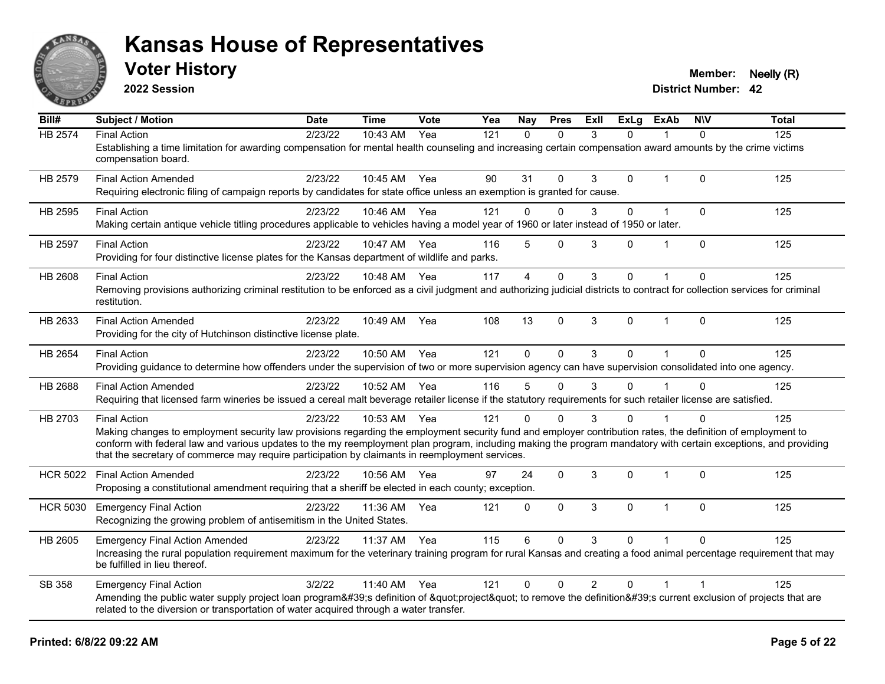

**2022 Session**

**Voter History Member: Neelly (R)** 

| Bill#           | Subject / Motion                                                                                                                                                                                                                                                   | <b>Date</b> | <b>Time</b>  | <b>Vote</b> | Yea | <b>Nay</b>     | <b>Pres</b>  | ExII           | ExLg         | <b>ExAb</b>    | <b>NIV</b>     | <b>Total</b> |
|-----------------|--------------------------------------------------------------------------------------------------------------------------------------------------------------------------------------------------------------------------------------------------------------------|-------------|--------------|-------------|-----|----------------|--------------|----------------|--------------|----------------|----------------|--------------|
| HB 2574         | <b>Final Action</b><br>Establishing a time limitation for awarding compensation for mental health counseling and increasing certain compensation award amounts by the crime victims                                                                                | 2/23/22     | 10:43 AM     | Yea         | 121 | $\mathbf{0}$   | $\Omega$     | 3              | 0            |                | $\Omega$       | 125          |
|                 | compensation board.                                                                                                                                                                                                                                                |             |              |             |     |                |              |                |              |                |                |              |
| HB 2579         | <b>Final Action Amended</b><br>Requiring electronic filing of campaign reports by candidates for state office unless an exemption is granted for cause.                                                                                                            | 2/23/22     | 10:45 AM Yea |             | 90  | 31             | $\mathbf{0}$ | 3              | $\mathbf 0$  | $\mathbf{1}$   | $\Omega$       | 125          |
|                 |                                                                                                                                                                                                                                                                    |             |              |             |     |                |              |                |              |                |                |              |
| HB 2595         | <b>Final Action</b>                                                                                                                                                                                                                                                | 2/23/22     | 10:46 AM Yea |             | 121 | $\Omega$       | $\mathbf{0}$ | 3              | 0            | $\overline{1}$ | $\Omega$       | 125          |
|                 | Making certain antique vehicle titling procedures applicable to vehicles having a model year of 1960 or later instead of 1950 or later.                                                                                                                            |             |              |             |     |                |              |                |              |                |                |              |
| HB 2597         | <b>Final Action</b>                                                                                                                                                                                                                                                | 2/23/22     | 10:47 AM Yea |             | 116 | 5              | $\mathbf{0}$ | 3              | 0            |                | $\Omega$       | 125          |
|                 | Providing for four distinctive license plates for the Kansas department of wildlife and parks.                                                                                                                                                                     |             |              |             |     |                |              |                |              |                |                |              |
| HB 2608         | <b>Final Action</b>                                                                                                                                                                                                                                                | 2/23/22     | 10:48 AM     | Yea         | 117 | $\overline{4}$ | $\mathbf{0}$ | 3              | 0            |                | $\Omega$       | 125          |
|                 | Removing provisions authorizing criminal restitution to be enforced as a civil judgment and authorizing judicial districts to contract for collection services for criminal                                                                                        |             |              |             |     |                |              |                |              |                |                |              |
|                 | restitution.                                                                                                                                                                                                                                                       |             |              |             |     |                |              |                |              |                |                |              |
| HB 2633         | <b>Final Action Amended</b>                                                                                                                                                                                                                                        | 2/23/22     | 10:49 AM     | Yea         | 108 | 13             | $\mathbf{0}$ | 3              | $\mathbf{0}$ | $\mathbf{1}$   | $\Omega$       | 125          |
|                 | Providing for the city of Hutchinson distinctive license plate.                                                                                                                                                                                                    |             |              |             |     |                |              |                |              |                |                |              |
| HB 2654         | <b>Final Action</b>                                                                                                                                                                                                                                                | 2/23/22     | 10:50 AM     | Yea         | 121 | $\mathbf{0}$   | $\Omega$     | 3              | $\Omega$     |                | $\Omega$       | 125          |
|                 | Providing guidance to determine how offenders under the supervision of two or more supervision agency can have supervision consolidated into one agency.                                                                                                           |             |              |             |     |                |              |                |              |                |                |              |
| HB 2688         | <b>Final Action Amended</b>                                                                                                                                                                                                                                        | 2/23/22     | 10:52 AM     | Yea         | 116 | 5              | $\Omega$     | 3              | 0            |                | $\Omega$       | 125          |
|                 | Requiring that licensed farm wineries be issued a cereal malt beverage retailer license if the statutory requirements for such retailer license are satisfied.                                                                                                     |             |              |             |     |                |              |                |              |                |                |              |
| HB 2703         | <b>Final Action</b>                                                                                                                                                                                                                                                | 2/23/22     | 10:53 AM Yea |             | 121 | $\Omega$       | $\Omega$     | 3              | $\Omega$     |                |                | 125          |
|                 | Making changes to employment security law provisions regarding the employment security fund and employer contribution rates, the definition of employment to                                                                                                       |             |              |             |     |                |              |                |              |                |                |              |
|                 | conform with federal law and various updates to the my reemployment plan program, including making the program mandatory with certain exceptions, and providing<br>that the secretary of commerce may require participation by claimants in reemployment services. |             |              |             |     |                |              |                |              |                |                |              |
|                 |                                                                                                                                                                                                                                                                    |             |              |             |     |                |              |                |              |                |                |              |
| <b>HCR 5022</b> | <b>Final Action Amended</b>                                                                                                                                                                                                                                        | 2/23/22     | 10:56 AM     | Yea         | 97  | 24             | $\mathbf 0$  | 3              | 0            | $\overline{1}$ | $\Omega$       | 125          |
|                 | Proposing a constitutional amendment requiring that a sheriff be elected in each county; exception.                                                                                                                                                                |             |              |             |     |                |              |                |              |                |                |              |
| <b>HCR 5030</b> | <b>Emergency Final Action</b>                                                                                                                                                                                                                                      | 2/23/22     | 11:36 AM     | Yea         | 121 | 0              | $\mathbf 0$  | 3              | $\mathbf 0$  | $\mathbf{1}$   | $\Omega$       | 125          |
|                 | Recognizing the growing problem of antisemitism in the United States.                                                                                                                                                                                              |             |              |             |     |                |              |                |              |                |                |              |
| HB 2605         | <b>Emergency Final Action Amended</b>                                                                                                                                                                                                                              | 2/23/22     | 11:37 AM     | Yea         | 115 | 6              | $\Omega$     | 3              | $\Omega$     |                | $\Omega$       | 125          |
|                 | Increasing the rural population requirement maximum for the veterinary training program for rural Kansas and creating a food animal percentage requirement that may<br>be fulfilled in lieu thereof.                                                               |             |              |             |     |                |              |                |              |                |                |              |
|                 |                                                                                                                                                                                                                                                                    |             |              |             |     |                |              |                |              |                |                |              |
| SB 358          | <b>Emergency Final Action</b><br>Amending the public water supply project loan program's definition of "project" to remove the definition's current exclusion of projects that are                                                                                 | 3/2/22      | 11:40 AM     | Yea         | 121 | $\mathbf 0$    | $\mathbf 0$  | $\overline{2}$ | 0            | $\mathbf 1$    | $\overline{1}$ | 125          |
|                 | related to the diversion or transportation of water acquired through a water transfer.                                                                                                                                                                             |             |              |             |     |                |              |                |              |                |                |              |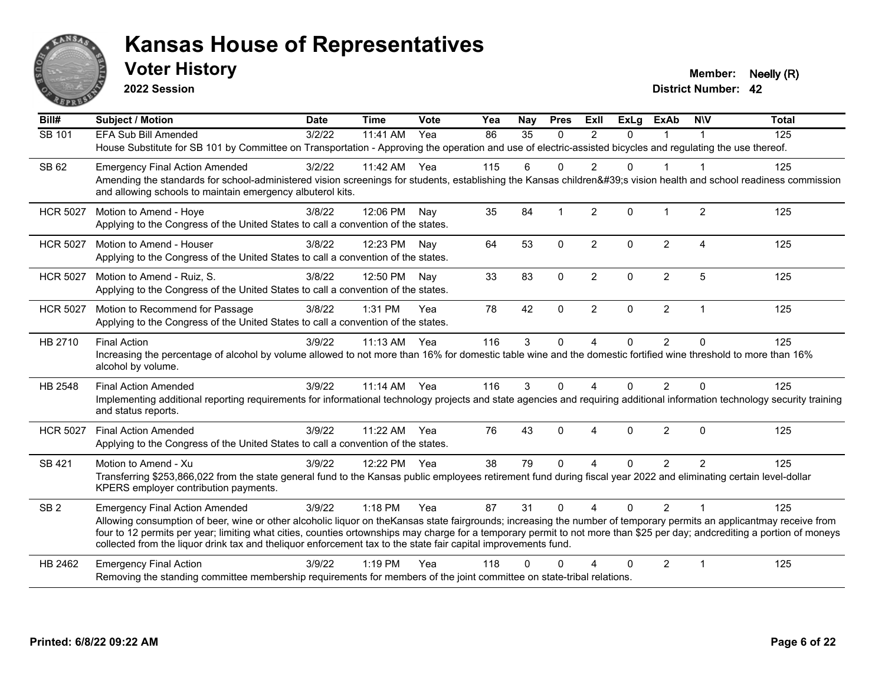

**2022 Session**

**Voter History Member: Neelly (R)** 

| Bill#           | <b>Subject / Motion</b>                                                                                                                                                                                                                                                                                                                                                                                                                                             | <b>Date</b> | <b>Time</b>  | Vote | Yea | Nay          | <b>Pres</b> | ExII              | $\overline{Ex}$ Lg | <b>ExAb</b>    | <b>NIV</b>     | <b>Total</b> |
|-----------------|---------------------------------------------------------------------------------------------------------------------------------------------------------------------------------------------------------------------------------------------------------------------------------------------------------------------------------------------------------------------------------------------------------------------------------------------------------------------|-------------|--------------|------|-----|--------------|-------------|-------------------|--------------------|----------------|----------------|--------------|
| SB 101          | <b>EFA Sub Bill Amended</b>                                                                                                                                                                                                                                                                                                                                                                                                                                         | 3/2/22      | 11:41 AM     | Yea  | 86  | 35           | $\Omega$    | $\mathfrak{p}$    | $\Omega$           |                |                | 125          |
|                 | House Substitute for SB 101 by Committee on Transportation - Approving the operation and use of electric-assisted bicycles and regulating the use thereof.                                                                                                                                                                                                                                                                                                          |             |              |      |     |              |             |                   |                    |                |                |              |
| SB 62           | <b>Emergency Final Action Amended</b>                                                                                                                                                                                                                                                                                                                                                                                                                               | 3/2/22      | 11:42 AM     | Yea  | 115 | 6            | $\Omega$    | 2                 | $\Omega$           | 1              |                | 125          |
|                 | Amending the standards for school-administered vision screenings for students, establishing the Kansas children's vision health and school readiness commission<br>and allowing schools to maintain emergency albuterol kits.                                                                                                                                                                                                                                       |             |              |      |     |              |             |                   |                    |                |                |              |
| <b>HCR 5027</b> | Motion to Amend - Hoye<br>Applying to the Congress of the United States to call a convention of the states.                                                                                                                                                                                                                                                                                                                                                         | 3/8/22      | 12:06 PM     | Nav  | 35  | 84           |             | 2                 | $\Omega$           | $\mathbf 1$    | 2              | 125          |
|                 |                                                                                                                                                                                                                                                                                                                                                                                                                                                                     |             |              |      |     |              |             |                   |                    |                |                |              |
| <b>HCR 5027</b> | Motion to Amend - Houser<br>Applying to the Congress of the United States to call a convention of the states.                                                                                                                                                                                                                                                                                                                                                       | 3/8/22      | 12:23 PM Nay |      | 64  | 53           | $\Omega$    | $\overline{2}$    | $\Omega$           | $\overline{2}$ | $\overline{4}$ | 125          |
| <b>HCR 5027</b> | Motion to Amend - Ruiz, S.                                                                                                                                                                                                                                                                                                                                                                                                                                          | 3/8/22      | 12:50 PM     | Nay  | 33  | 83           | $\mathbf 0$ | $\overline{2}$    | $\Omega$           | $\overline{2}$ | 5              | 125          |
|                 | Applying to the Congress of the United States to call a convention of the states.                                                                                                                                                                                                                                                                                                                                                                                   |             |              |      |     |              |             |                   |                    |                |                |              |
| <b>HCR 5027</b> | Motion to Recommend for Passage<br>Applying to the Congress of the United States to call a convention of the states.                                                                                                                                                                                                                                                                                                                                                | 3/8/22      | 1:31 PM      | Yea  | 78  | 42           | $\Omega$    | 2                 | $\Omega$           | $\overline{2}$ | $\overline{1}$ | 125          |
|                 |                                                                                                                                                                                                                                                                                                                                                                                                                                                                     |             |              |      |     |              |             |                   |                    |                |                |              |
| HB 2710         | <b>Final Action</b><br>Increasing the percentage of alcohol by volume allowed to not more than 16% for domestic table wine and the domestic fortified wine threshold to more than 16%<br>alcohol by volume.                                                                                                                                                                                                                                                         | 3/9/22      | 11:13 AM     | Yea  | 116 | $\mathbf{3}$ | 0           | 4                 | $\Omega$           | $\overline{2}$ | $\Omega$       | 125          |
| HB 2548         | <b>Final Action Amended</b>                                                                                                                                                                                                                                                                                                                                                                                                                                         | 3/9/22      | $11:14$ AM   | Yea  | 116 | 3            | $\Omega$    | 4                 | $\Omega$           | $\overline{2}$ | $\Omega$       | 125          |
|                 | Implementing additional reporting requirements for informational technology projects and state agencies and requiring additional information technology security training<br>and status reports.                                                                                                                                                                                                                                                                    |             |              |      |     |              |             |                   |                    |                |                |              |
| <b>HCR 5027</b> | <b>Final Action Amended</b>                                                                                                                                                                                                                                                                                                                                                                                                                                         | 3/9/22      | 11:22 AM     | Yea  | 76  | 43           | $\Omega$    | 4                 | $\Omega$           | $\overline{2}$ | $\Omega$       | 125          |
|                 | Applying to the Congress of the United States to call a convention of the states.                                                                                                                                                                                                                                                                                                                                                                                   |             |              |      |     |              |             |                   |                    |                |                |              |
| SB 421          | Motion to Amend - Xu                                                                                                                                                                                                                                                                                                                                                                                                                                                | 3/9/22      | 12:22 PM     | Yea  | 38  | 79           | $\Omega$    | 4                 | $\Omega$           | $\overline{2}$ | $\mathcal{P}$  | 125          |
|                 | Transferring \$253,866,022 from the state general fund to the Kansas public employees retirement fund during fiscal year 2022 and eliminating certain level-dollar<br>KPERS employer contribution payments.                                                                                                                                                                                                                                                         |             |              |      |     |              |             |                   |                    |                |                |              |
| SB <sub>2</sub> | <b>Emergency Final Action Amended</b>                                                                                                                                                                                                                                                                                                                                                                                                                               | 3/9/22      | 1:18 PM      | Yea  | 87  | 31           | $\Omega$    | $\mathbf{\Delta}$ | $\Omega$           | $\overline{2}$ | $\overline{1}$ | 125          |
|                 | Allowing consumption of beer, wine or other alcoholic liquor on theKansas state fairgrounds; increasing the number of temporary permits an applicantmay receive from<br>four to 12 permits per year; limiting what cities, counties ortownships may charge for a temporary permit to not more than \$25 per day; andcrediting a portion of moneys<br>collected from the liquor drink tax and theliquor enforcement tax to the state fair capital improvements fund. |             |              |      |     |              |             |                   |                    |                |                |              |
| HB 2462         | <b>Emergency Final Action</b>                                                                                                                                                                                                                                                                                                                                                                                                                                       | 3/9/22      | $1:19$ PM    | Yea  | 118 | $\Omega$     |             |                   | $\Omega$           | $\overline{2}$ | $\overline{1}$ | 125          |
|                 | Removing the standing committee membership requirements for members of the joint committee on state-tribal relations.                                                                                                                                                                                                                                                                                                                                               |             |              |      |     |              |             |                   |                    |                |                |              |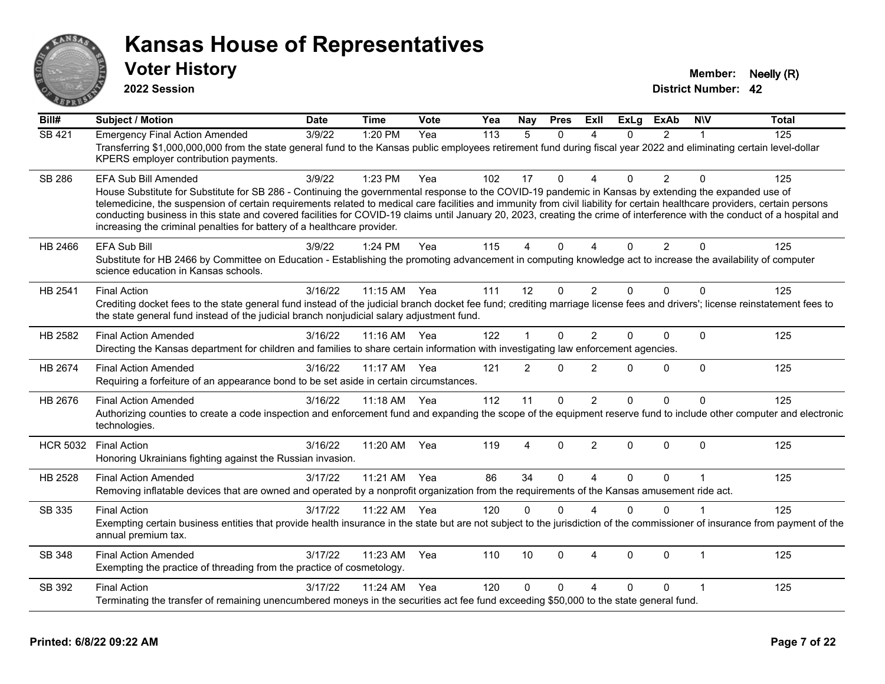

**2022 Session**

**Voter History Member: Neelly (R)** 

| Bill#           | <b>Subject / Motion</b>                                                                                                                                                                                                                                                                                                                                                                                                                                                                                                                                                                                               | <b>Date</b> | <b>Time</b> | Vote | Yea | Nay            | <b>Pres</b> | ExII                   | <b>ExLg</b> | <b>ExAb</b>    | <b>NIV</b>   | <b>Total</b> |
|-----------------|-----------------------------------------------------------------------------------------------------------------------------------------------------------------------------------------------------------------------------------------------------------------------------------------------------------------------------------------------------------------------------------------------------------------------------------------------------------------------------------------------------------------------------------------------------------------------------------------------------------------------|-------------|-------------|------|-----|----------------|-------------|------------------------|-------------|----------------|--------------|--------------|
| <b>SB 421</b>   | <b>Emergency Final Action Amended</b><br>Transferring \$1,000,000,000 from the state general fund to the Kansas public employees retirement fund during fiscal year 2022 and eliminating certain level-dollar<br>KPERS employer contribution payments.                                                                                                                                                                                                                                                                                                                                                                | 3/9/22      | 1:20 PM     | Yea  | 113 | 5              | $\Omega$    | $\boldsymbol{\Lambda}$ | $\Omega$    | $\mathfrak{p}$ |              | 125          |
| <b>SB 286</b>   | EFA Sub Bill Amended<br>House Substitute for Substitute for SB 286 - Continuing the governmental response to the COVID-19 pandemic in Kansas by extending the expanded use of<br>telemedicine, the suspension of certain requirements related to medical care facilities and immunity from civil liability for certain healthcare providers, certain persons<br>conducting business in this state and covered facilities for COVID-19 claims until January 20, 2023, creating the crime of interference with the conduct of a hospital and<br>increasing the criminal penalties for battery of a healthcare provider. | 3/9/22      | 1:23 PM     | Yea  | 102 | 17             | $\Omega$    | $\Lambda$              | $\Omega$    | $\overline{2}$ | $\Omega$     | 125          |
| HB 2466         | <b>EFA Sub Bill</b><br>Substitute for HB 2466 by Committee on Education - Establishing the promoting advancement in computing knowledge act to increase the availability of computer<br>science education in Kansas schools.                                                                                                                                                                                                                                                                                                                                                                                          | 3/9/22      | 1:24 PM     | Yea  | 115 | 4              | $\Omega$    | $\boldsymbol{\Delta}$  | $\Omega$    | $\overline{2}$ | $\Omega$     | 125          |
| HB 2541         | <b>Final Action</b><br>Crediting docket fees to the state general fund instead of the judicial branch docket fee fund; crediting marriage license fees and drivers'; license reinstatement fees to<br>the state general fund instead of the judicial branch nonjudicial salary adjustment fund.                                                                                                                                                                                                                                                                                                                       | 3/16/22     | 11:15 AM    | Yea  | 111 | 12             | $\Omega$    | 2                      | $\Omega$    | $\Omega$       | $\Omega$     | 125          |
| HB 2582         | <b>Final Action Amended</b><br>Directing the Kansas department for children and families to share certain information with investigating law enforcement agencies.                                                                                                                                                                                                                                                                                                                                                                                                                                                    | 3/16/22     | $11:16$ AM  | Yea  | 122 | $\mathbf 1$    | $\Omega$    | $\overline{2}$         | $\Omega$    | $\Omega$       | $\Omega$     | 125          |
| HB 2674         | <b>Final Action Amended</b><br>Requiring a forfeiture of an appearance bond to be set aside in certain circumstances.                                                                                                                                                                                                                                                                                                                                                                                                                                                                                                 | 3/16/22     | 11:17 AM    | Yea  | 121 | $\overline{2}$ | $\Omega$    | $\overline{2}$         | 0           | $\Omega$       | $\Omega$     | 125          |
| HB 2676         | <b>Final Action Amended</b><br>Authorizing counties to create a code inspection and enforcement fund and expanding the scope of the equipment reserve fund to include other computer and electronic<br>technologies.                                                                                                                                                                                                                                                                                                                                                                                                  | 3/16/22     | $11:18$ AM  | Yea  | 112 | 11             | $\Omega$    | $\overline{2}$         | 0           | $\Omega$       | $\mathbf{0}$ | 125          |
| <b>HCR 5032</b> | <b>Final Action</b><br>Honoring Ukrainians fighting against the Russian invasion.                                                                                                                                                                                                                                                                                                                                                                                                                                                                                                                                     | 3/16/22     | 11:20 AM    | Yea  | 119 | 4              | $\Omega$    | 2                      | $\Omega$    | $\Omega$       | $\Omega$     | 125          |
| HB 2528         | <b>Final Action Amended</b><br>Removing inflatable devices that are owned and operated by a nonprofit organization from the requirements of the Kansas amusement ride act.                                                                                                                                                                                                                                                                                                                                                                                                                                            | 3/17/22     | 11:21 AM    | Yea  | 86  | 34             | $\Omega$    | $\overline{a}$         | $\Omega$    | $\Omega$       |              | 125          |
| SB 335          | <b>Final Action</b><br>Exempting certain business entities that provide health insurance in the state but are not subject to the jurisdiction of the commissioner of insurance from payment of the<br>annual premium tax.                                                                                                                                                                                                                                                                                                                                                                                             | 3/17/22     | 11:22 AM    | Yea  | 120 | $\mathbf{0}$   | $\Omega$    | $\boldsymbol{\Lambda}$ | $\Omega$    | $\Omega$       |              | 125          |
| <b>SB 348</b>   | <b>Final Action Amended</b><br>Exempting the practice of threading from the practice of cosmetology.                                                                                                                                                                                                                                                                                                                                                                                                                                                                                                                  | 3/17/22     | 11:23 AM    | Yea  | 110 | 10             | $\Omega$    | $\boldsymbol{\Lambda}$ | $\Omega$    | $\Omega$       | $\mathbf 1$  | 125          |
| SB 392          | <b>Final Action</b><br>Terminating the transfer of remaining unencumbered moneys in the securities act fee fund exceeding \$50,000 to the state general fund.                                                                                                                                                                                                                                                                                                                                                                                                                                                         | 3/17/22     | 11:24 AM    | Yea  | 120 | $\Omega$       | $\Omega$    | Δ                      | 0           | $\Omega$       | -1           | 125          |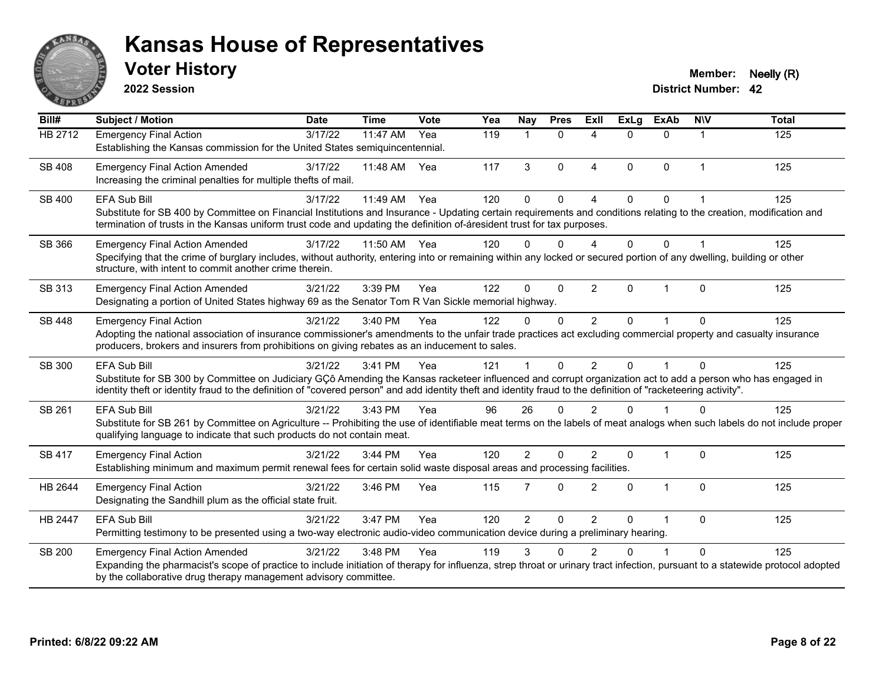

**2022 Session**

**Voter History Member: Neelly (R)** 

| Bill#          | <b>Subject / Motion</b>                                                                                                                                                                                                                                                                                                                        | <b>Date</b> | <b>Time</b> | Vote | Yea | Nay            | <b>Pres</b>  | <b>ExII</b>              | <b>ExLg</b> | <b>ExAb</b>  | <b>NIV</b>  | <b>Total</b> |
|----------------|------------------------------------------------------------------------------------------------------------------------------------------------------------------------------------------------------------------------------------------------------------------------------------------------------------------------------------------------|-------------|-------------|------|-----|----------------|--------------|--------------------------|-------------|--------------|-------------|--------------|
| <b>HB 2712</b> | <b>Emergency Final Action</b><br>Establishing the Kansas commission for the United States semiquincentennial.                                                                                                                                                                                                                                  | 3/17/22     | 11:47 AM    | Yea  | 119 | $\mathbf{1}$   | $\mathbf{0}$ | 4                        | $\Omega$    | $\Omega$     | $\mathbf 1$ | 125          |
| SB 408         | <b>Emergency Final Action Amended</b><br>Increasing the criminal penalties for multiple thefts of mail.                                                                                                                                                                                                                                        | 3/17/22     | 11:48 AM    | Yea  | 117 | 3              | $\Omega$     | $\overline{4}$           | $\Omega$    | $\Omega$     | 1           | 125          |
| SB 400         | <b>EFA Sub Bill</b><br>Substitute for SB 400 by Committee on Financial Institutions and Insurance - Updating certain requirements and conditions relating to the creation, modification and<br>termination of trusts in the Kansas uniform trust code and updating the definition of-áresident trust for tax purposes.                         | 3/17/22     | 11:49 AM    | Yea  | 120 | $\Omega$       | $\mathbf 0$  | $\Delta$                 | $\Omega$    | $\mathbf{0}$ |             | 125          |
| SB 366         | <b>Emergency Final Action Amended</b><br>Specifying that the crime of burglary includes, without authority, entering into or remaining within any locked or secured portion of any dwelling, building or other<br>structure, with intent to commit another crime therein.                                                                      | 3/17/22     | 11:50 AM    | Yea  | 120 | $\Omega$       | $\Omega$     | $\boldsymbol{\varDelta}$ | $\Omega$    | $\Omega$     |             | 125          |
| SB 313         | <b>Emergency Final Action Amended</b><br>Designating a portion of United States highway 69 as the Senator Tom R Van Sickle memorial highway.                                                                                                                                                                                                   | 3/21/22     | 3:39 PM     | Yea  | 122 | $\Omega$       | $\Omega$     | 2                        | $\Omega$    | 1            | $\Omega$    | 125          |
| SB 448         | <b>Emergency Final Action</b><br>Adopting the national association of insurance commissioner's amendments to the unfair trade practices act excluding commercial property and casualty insurance<br>producers, brokers and insurers from prohibitions on giving rebates as an inducement to sales.                                             | 3/21/22     | 3:40 PM     | Yea  | 122 | $\mathbf{0}$   | $\Omega$     | 2                        | $\Omega$    | 1            | $\Omega$    | 125          |
| SB 300         | EFA Sub Bill<br>Substitute for SB 300 by Committee on Judiciary GÇô Amending the Kansas racketeer influenced and corrupt organization act to add a person who has engaged in<br>identity theft or identity fraud to the definition of "covered person" and add identity theft and identity fraud to the definition of "racketeering activity". | 3/21/22     | 3:41 PM     | Yea  | 121 |                | $\Omega$     | 2                        | $\Omega$    | $\mathbf{1}$ | $\Omega$    | 125          |
| SB 261         | EFA Sub Bill<br>Substitute for SB 261 by Committee on Agriculture -- Prohibiting the use of identifiable meat terms on the labels of meat analogs when such labels do not include proper<br>qualifying language to indicate that such products do not contain meat.                                                                            | 3/21/22     | 3:43 PM     | Yea  | 96  | 26             | $\Omega$     | $\mathcal{P}$            | $\Omega$    | 1            | $\Omega$    | 125          |
| <b>SB 417</b>  | <b>Emergency Final Action</b><br>Establishing minimum and maximum permit renewal fees for certain solid waste disposal areas and processing facilities.                                                                                                                                                                                        | 3/21/22     | 3:44 PM     | Yea  | 120 | $\overline{2}$ | $\mathbf 0$  | 2                        | $\Omega$    | $\mathbf{1}$ | $\mathbf 0$ | 125          |
| HB 2644        | <b>Emergency Final Action</b><br>Designating the Sandhill plum as the official state fruit.                                                                                                                                                                                                                                                    | 3/21/22     | 3:46 PM     | Yea  | 115 | $\overline{7}$ | $\Omega$     | 2                        | $\Omega$    | $\mathbf{1}$ | $\Omega$    | 125          |
| HB 2447        | <b>EFA Sub Bill</b><br>Permitting testimony to be presented using a two-way electronic audio-video communication device during a preliminary hearing.                                                                                                                                                                                          | 3/21/22     | 3:47 PM     | Yea  | 120 | $\overline{2}$ | $\mathbf 0$  | $\overline{2}$           | $\Omega$    | 1            | $\mathbf 0$ | 125          |
| <b>SB 200</b>  | <b>Emergency Final Action Amended</b><br>Expanding the pharmacist's scope of practice to include initiation of therapy for influenza, strep throat or urinary tract infection, pursuant to a statewide protocol adopted<br>by the collaborative drug therapy management advisory committee.                                                    | 3/21/22     | 3:48 PM     | Yea  | 119 | 3              | $\Omega$     | $\mathcal{P}$            | U           | 1            | $\Omega$    | 125          |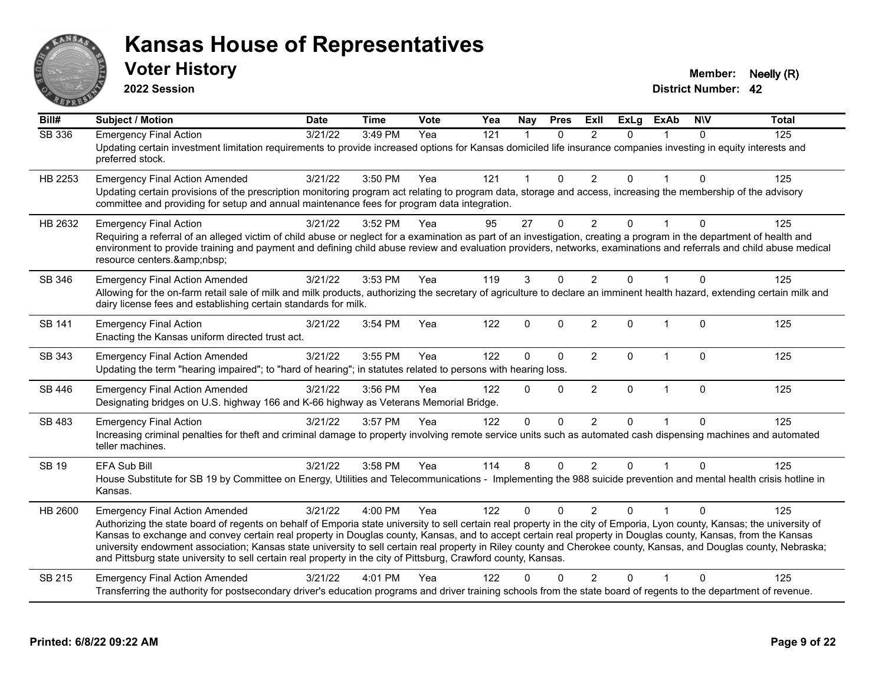

**2022 Session**

**Voter History Member: Neelly (R)** 

| Bill#          | <b>Subject / Motion</b>                                                                                                                                                                                                                                                                                                                                                                                                                                                                                                                                                                                                                                                      | <b>Date</b> | <b>Time</b> | Vote | Yea | Nay         | <b>Pres</b>  | ExII           | <b>ExLg</b>  | <b>ExAb</b>  | <b>NIV</b>  | <b>Total</b> |
|----------------|------------------------------------------------------------------------------------------------------------------------------------------------------------------------------------------------------------------------------------------------------------------------------------------------------------------------------------------------------------------------------------------------------------------------------------------------------------------------------------------------------------------------------------------------------------------------------------------------------------------------------------------------------------------------------|-------------|-------------|------|-----|-------------|--------------|----------------|--------------|--------------|-------------|--------------|
| <b>SB 336</b>  | <b>Emergency Final Action</b><br>Updating certain investment limitation requirements to provide increased options for Kansas domiciled life insurance companies investing in equity interests and<br>preferred stock.                                                                                                                                                                                                                                                                                                                                                                                                                                                        | 3/21/22     | 3:49 PM     | Yea  | 121 |             | $\Omega$     | 2              | $\Omega$     |              | $\Omega$    | 125          |
| HB 2253        | <b>Emergency Final Action Amended</b><br>Updating certain provisions of the prescription monitoring program act relating to program data, storage and access, increasing the membership of the advisory<br>committee and providing for setup and annual maintenance fees for program data integration.                                                                                                                                                                                                                                                                                                                                                                       | 3/21/22     | 3:50 PM     | Yea  | 121 |             | $\mathbf{0}$ | $\overline{2}$ | 0            |              | $\Omega$    | 125          |
| HB 2632        | <b>Emergency Final Action</b><br>Requiring a referral of an alleged victim of child abuse or neglect for a examination as part of an investigation, creating a program in the department of health and<br>environment to provide training and payment and defining child abuse review and evaluation providers, networks, examinations and referrals and child abuse medical<br>resource centers.                                                                                                                                                                                                                                                                            | 3/21/22     | 3:52 PM     | Yea  | 95  | 27          | $\Omega$     | 2              | 0            |              | $\Omega$    | 125          |
| SB 346         | <b>Emergency Final Action Amended</b><br>Allowing for the on-farm retail sale of milk and milk products, authorizing the secretary of agriculture to declare an imminent health hazard, extending certain milk and<br>dairy license fees and establishing certain standards for milk.                                                                                                                                                                                                                                                                                                                                                                                        | 3/21/22     | 3:53 PM     | Yea  | 119 | 3           | $\Omega$     | $\overline{2}$ | $\Omega$     |              | $\Omega$    | 125          |
| SB 141         | <b>Emergency Final Action</b><br>Enacting the Kansas uniform directed trust act.                                                                                                                                                                                                                                                                                                                                                                                                                                                                                                                                                                                             | 3/21/22     | 3:54 PM     | Yea  | 122 | 0           | $\Omega$     | $\overline{2}$ | $\mathbf{0}$ | $\mathbf 1$  | $\mathbf 0$ | 125          |
| SB 343         | <b>Emergency Final Action Amended</b><br>Updating the term "hearing impaired"; to "hard of hearing"; in statutes related to persons with hearing loss.                                                                                                                                                                                                                                                                                                                                                                                                                                                                                                                       | 3/21/22     | 3:55 PM     | Yea  | 122 | 0           | $\mathbf 0$  | $\overline{c}$ | 0            | 1            | $\mathbf 0$ | 125          |
| SB 446         | <b>Emergency Final Action Amended</b><br>Designating bridges on U.S. highway 166 and K-66 highway as Veterans Memorial Bridge.                                                                                                                                                                                                                                                                                                                                                                                                                                                                                                                                               | 3/21/22     | 3:56 PM     | Yea  | 122 | $\Omega$    | $\Omega$     | $\overline{c}$ | 0            | $\mathbf{1}$ | $\mathbf 0$ | 125          |
| SB 483         | <b>Emergency Final Action</b><br>Increasing criminal penalties for theft and criminal damage to property involving remote service units such as automated cash dispensing machines and automated<br>teller machines.                                                                                                                                                                                                                                                                                                                                                                                                                                                         | 3/21/22     | 3:57 PM     | Yea  | 122 | $\mathbf 0$ | $\Omega$     | $\overline{2}$ | $\Omega$     |              | $\Omega$    | 125          |
| <b>SB 19</b>   | <b>EFA Sub Bill</b><br>House Substitute for SB 19 by Committee on Energy, Utilities and Telecommunications - Implementing the 988 suicide prevention and mental health crisis hotline in<br>Kansas.                                                                                                                                                                                                                                                                                                                                                                                                                                                                          | 3/21/22     | 3:58 PM     | Yea  | 114 | 8           | $\Omega$     | $\overline{2}$ | $\Omega$     |              | $\Omega$    | 125          |
| <b>HB 2600</b> | <b>Emergency Final Action Amended</b><br>Authorizing the state board of regents on behalf of Emporia state university to sell certain real property in the city of Emporia, Lyon county, Kansas; the university of<br>Kansas to exchange and convey certain real property in Douglas county, Kansas, and to accept certain real property in Douglas county, Kansas, from the Kansas<br>university endowment association; Kansas state university to sell certain real property in Riley county and Cherokee county, Kansas, and Douglas county, Nebraska;<br>and Pittsburg state university to sell certain real property in the city of Pittsburg, Crawford county, Kansas. | 3/21/22     | 4:00 PM     | Yea  | 122 | $\Omega$    | $\Omega$     | 2              | $\Omega$     |              | $\Omega$    | 125          |
| SB 215         | <b>Emergency Final Action Amended</b><br>Transferring the authority for postsecondary driver's education programs and driver training schools from the state board of regents to the department of revenue.                                                                                                                                                                                                                                                                                                                                                                                                                                                                  | 3/21/22     | 4:01 PM     | Yea  | 122 | U           |              | $\overline{2}$ | 0            |              | $\Omega$    | 125          |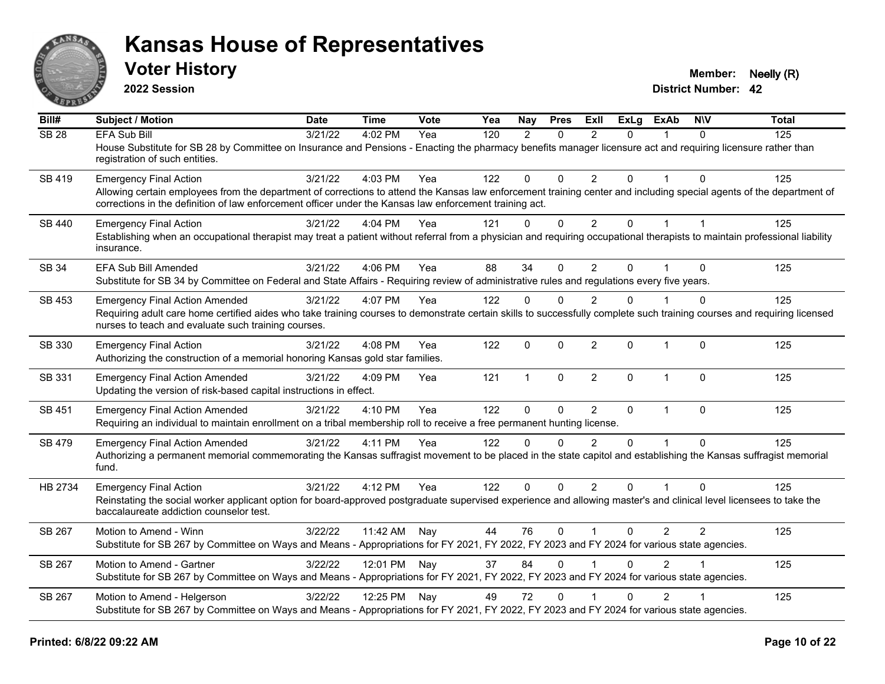

**2022 Session**

**Voter History Member: Neelly (R)** 

| Bill#            | Subject / Motion                                                                                                                                                                                                                                                                | <b>Date</b> | <b>Time</b>  | <b>Vote</b> | Yea | Nay          | <b>Pres</b> | ExII           | <b>ExLg</b>  | <b>ExAb</b>    | <b>NIV</b>   | <b>Total</b> |
|------------------|---------------------------------------------------------------------------------------------------------------------------------------------------------------------------------------------------------------------------------------------------------------------------------|-------------|--------------|-------------|-----|--------------|-------------|----------------|--------------|----------------|--------------|--------------|
| SB <sub>28</sub> | <b>EFA Sub Bill</b><br>House Substitute for SB 28 by Committee on Insurance and Pensions - Enacting the pharmacy benefits manager licensure act and requiring licensure rather than                                                                                             | 3/21/22     | 4:02 PM      | Yea         | 120 | 2            | $\Omega$    | $\mathcal{P}$  | $\Omega$     |                | $\Omega$     | 125          |
|                  | registration of such entities.                                                                                                                                                                                                                                                  |             |              |             |     |              |             |                |              |                |              |              |
| SB 419           | <b>Emergency Final Action</b>                                                                                                                                                                                                                                                   | 3/21/22     | 4:03 PM      | Yea         | 122 | $\Omega$     | $\Omega$    | 2              | $\Omega$     | 1              | $\Omega$     | 125          |
|                  | Allowing certain employees from the department of corrections to attend the Kansas law enforcement training center and including special agents of the department of<br>corrections in the definition of law enforcement officer under the Kansas law enforcement training act. |             |              |             |     |              |             |                |              |                |              |              |
| SB 440           | <b>Emergency Final Action</b>                                                                                                                                                                                                                                                   | 3/21/22     | 4:04 PM      | Yea         | 121 | $\mathbf{0}$ | $\mathbf 0$ | $2^{\circ}$    | $\Omega$     | $\mathbf{1}$   |              | 125          |
|                  | Establishing when an occupational therapist may treat a patient without referral from a physician and requiring occupational therapists to maintain professional liability<br>insurance.                                                                                        |             |              |             |     |              |             |                |              |                |              |              |
| SB 34            | EFA Sub Bill Amended                                                                                                                                                                                                                                                            | 3/21/22     | 4:06 PM      | Yea         | 88  | 34           | $\Omega$    | $\overline{2}$ | $\mathbf{0}$ |                | $\Omega$     | 125          |
|                  | Substitute for SB 34 by Committee on Federal and State Affairs - Requiring review of administrative rules and regulations every five years.                                                                                                                                     |             |              |             |     |              |             |                |              |                |              |              |
| SB 453           | <b>Emergency Final Action Amended</b>                                                                                                                                                                                                                                           | 3/21/22     | 4:07 PM      | Yea         | 122 | $\Omega$     | $\Omega$    | $\overline{2}$ | $\Omega$     |                | $\Omega$     | 125          |
|                  | Requiring adult care home certified aides who take training courses to demonstrate certain skills to successfully complete such training courses and requiring licensed<br>nurses to teach and evaluate such training courses.                                                  |             |              |             |     |              |             |                |              |                |              |              |
| SB 330           | <b>Emergency Final Action</b><br>Authorizing the construction of a memorial honoring Kansas gold star families.                                                                                                                                                                 | 3/21/22     | 4:08 PM      | Yea         | 122 | $\mathbf{0}$ | $\Omega$    | $\overline{2}$ | $\Omega$     | $\mathbf{1}$   | $\mathbf{0}$ | 125          |
| SB 331           | <b>Emergency Final Action Amended</b><br>Updating the version of risk-based capital instructions in effect.                                                                                                                                                                     | 3/21/22     | 4:09 PM      | Yea         | 121 | $\mathbf{1}$ | $\mathbf 0$ | $\overline{2}$ | $\Omega$     | $\mathbf{1}$   | $\mathbf{0}$ | 125          |
| SB 451           | <b>Emergency Final Action Amended</b>                                                                                                                                                                                                                                           | 3/21/22     | 4:10 PM      | Yea         | 122 | $\Omega$     | $\mathbf 0$ | $\overline{2}$ | $\mathbf{0}$ | $\mathbf{1}$   | $\mathbf{0}$ | 125          |
|                  | Requiring an individual to maintain enrollment on a tribal membership roll to receive a free permanent hunting license.                                                                                                                                                         |             |              |             |     |              |             |                |              |                |              |              |
| SB 479           | <b>Emergency Final Action Amended</b>                                                                                                                                                                                                                                           | 3/21/22     | 4:11 PM      | Yea         | 122 | $\Omega$     | $\Omega$    | $\mathcal{P}$  | $\Omega$     | $\mathbf{1}$   | $\Omega$     | 125          |
|                  | Authorizing a permanent memorial commemorating the Kansas suffragist movement to be placed in the state capitol and establishing the Kansas suffragist memorial<br>fund.                                                                                                        |             |              |             |     |              |             |                |              |                |              |              |
| HB 2734          | <b>Emergency Final Action</b>                                                                                                                                                                                                                                                   | 3/21/22     | 4:12 PM      | Yea         | 122 | $\mathbf{0}$ | $\Omega$    | 2              | $\Omega$     | 1              | $\Omega$     | 125          |
|                  | Reinstating the social worker applicant option for board-approved postgraduate supervised experience and allowing master's and clinical level licensees to take the<br>baccalaureate addiction counselor test.                                                                  |             |              |             |     |              |             |                |              |                |              |              |
| SB 267           | Motion to Amend - Winn                                                                                                                                                                                                                                                          | 3/22/22     | 11:42 AM     | Nay         | 44  | 76           | $\mathbf 0$ |                | $\mathbf{0}$ | $\overline{2}$ | 2            | 125          |
|                  | Substitute for SB 267 by Committee on Ways and Means - Appropriations for FY 2021, FY 2022, FY 2023 and FY 2024 for various state agencies.                                                                                                                                     |             |              |             |     |              |             |                |              |                |              |              |
| SB 267           | Motion to Amend - Gartner                                                                                                                                                                                                                                                       | 3/22/22     | 12:01 PM Nay |             | 37  | 84           | $\Omega$    |                | $\mathbf{0}$ | 2              |              | 125          |
|                  | Substitute for SB 267 by Committee on Ways and Means - Appropriations for FY 2021, FY 2022, FY 2023 and FY 2024 for various state agencies.                                                                                                                                     |             |              |             |     |              |             |                |              |                |              |              |
| SB 267           | Motion to Amend - Helgerson                                                                                                                                                                                                                                                     | 3/22/22     | 12:25 PM     | Nay         | 49  | 72           | $\Omega$    |                | $\Omega$     | 2              |              | 125          |
|                  | Substitute for SB 267 by Committee on Ways and Means - Appropriations for FY 2021, FY 2022, FY 2023 and FY 2024 for various state agencies.                                                                                                                                     |             |              |             |     |              |             |                |              |                |              |              |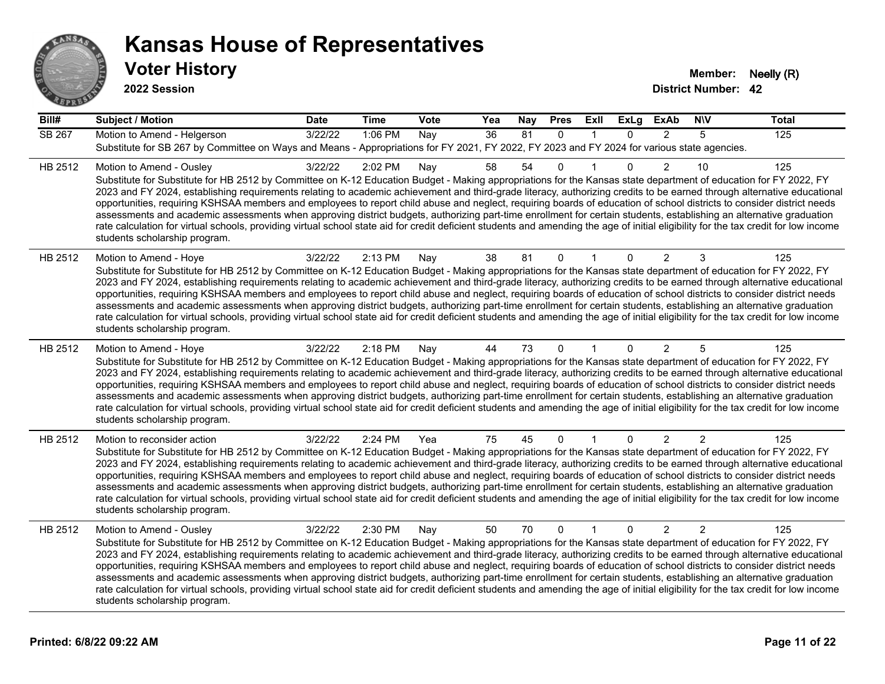

| Bill#   | <b>Subject / Motion</b>                                                                                                                                                                                                                                                                                                                                                                                                                                                                                                                                                                                                                                                                                                                                                                                                                                                                                                                             | <b>Date</b> | <b>Time</b> | Vote | Yea | Nay | <b>Pres</b>  | ExII         | <b>ExLg</b>  | <b>ExAb</b>    | <b>NIV</b>     | <b>Total</b> |
|---------|-----------------------------------------------------------------------------------------------------------------------------------------------------------------------------------------------------------------------------------------------------------------------------------------------------------------------------------------------------------------------------------------------------------------------------------------------------------------------------------------------------------------------------------------------------------------------------------------------------------------------------------------------------------------------------------------------------------------------------------------------------------------------------------------------------------------------------------------------------------------------------------------------------------------------------------------------------|-------------|-------------|------|-----|-----|--------------|--------------|--------------|----------------|----------------|--------------|
| SB 267  | Motion to Amend - Helgerson<br>Substitute for SB 267 by Committee on Ways and Means - Appropriations for FY 2021, FY 2022, FY 2023 and FY 2024 for various state agencies.                                                                                                                                                                                                                                                                                                                                                                                                                                                                                                                                                                                                                                                                                                                                                                          | 3/22/22     | 1:06 PM     | Nay  | 36  | 81  | $\Omega$     | $\mathbf{1}$ | $\Omega$     | $\mathcal{P}$  | 5              | 125          |
| HB 2512 | Motion to Amend - Ousley<br>Substitute for Substitute for HB 2512 by Committee on K-12 Education Budget - Making appropriations for the Kansas state department of education for FY 2022, FY<br>2023 and FY 2024, establishing requirements relating to academic achievement and third-grade literacy, authorizing credits to be earned through alternative educational<br>opportunities, requiring KSHSAA members and employees to report child abuse and neglect, requiring boards of education of school districts to consider district needs<br>assessments and academic assessments when approving district budgets, authorizing part-time enrollment for certain students, establishing an alternative graduation<br>rate calculation for virtual schools, providing virtual school state aid for credit deficient students and amending the age of initial eligibility for the tax credit for low income<br>students scholarship program.    | 3/22/22     | 2:02 PM     | Nay  | 58  | 54  | $\Omega$     |              | $\Omega$     | $\overline{2}$ | 10             | 125          |
| HB 2512 | Motion to Amend - Hoye<br>Substitute for Substitute for HB 2512 by Committee on K-12 Education Budget - Making appropriations for the Kansas state department of education for FY 2022, FY<br>2023 and FY 2024, establishing requirements relating to academic achievement and third-grade literacy, authorizing credits to be earned through alternative educational<br>opportunities, requiring KSHSAA members and employees to report child abuse and neglect, requiring boards of education of school districts to consider district needs<br>assessments and academic assessments when approving district budgets, authorizing part-time enrollment for certain students, establishing an alternative graduation<br>rate calculation for virtual schools, providing virtual school state aid for credit deficient students and amending the age of initial eligibility for the tax credit for low income<br>students scholarship program.      | 3/22/22     | 2:13 PM     | Nay  | 38  | 81  | $\mathbf 0$  |              | 0            | 2              | 3              | 125          |
| HB 2512 | Motion to Amend - Hoye<br>Substitute for Substitute for HB 2512 by Committee on K-12 Education Budget - Making appropriations for the Kansas state department of education for FY 2022, FY<br>2023 and FY 2024, establishing requirements relating to academic achievement and third-grade literacy, authorizing credits to be earned through alternative educational<br>opportunities, requiring KSHSAA members and employees to report child abuse and neglect, requiring boards of education of school districts to consider district needs<br>assessments and academic assessments when approving district budgets, authorizing part-time enrollment for certain students, establishing an alternative graduation<br>rate calculation for virtual schools, providing virtual school state aid for credit deficient students and amending the age of initial eligibility for the tax credit for low income<br>students scholarship program.      | 3/22/22     | 2:18 PM     | Nay  | 44  | 73  | 0            |              | 0            | 2              | 5              | 125          |
| HB 2512 | Motion to reconsider action<br>Substitute for Substitute for HB 2512 by Committee on K-12 Education Budget - Making appropriations for the Kansas state department of education for FY 2022, FY<br>2023 and FY 2024, establishing requirements relating to academic achievement and third-grade literacy, authorizing credits to be earned through alternative educational<br>opportunities, requiring KSHSAA members and employees to report child abuse and neglect, requiring boards of education of school districts to consider district needs<br>assessments and academic assessments when approving district budgets, authorizing part-time enrollment for certain students, establishing an alternative graduation<br>rate calculation for virtual schools, providing virtual school state aid for credit deficient students and amending the age of initial eligibility for the tax credit for low income<br>students scholarship program. | 3/22/22     | 2:24 PM     | Yea  | 75  | 45  | $\mathbf{0}$ |              | $\mathbf{0}$ | $\overline{2}$ | $\overline{2}$ | 125          |
| HB 2512 | Motion to Amend - Ousley<br>Substitute for Substitute for HB 2512 by Committee on K-12 Education Budget - Making appropriations for the Kansas state department of education for FY 2022, FY<br>2023 and FY 2024, establishing requirements relating to academic achievement and third-grade literacy, authorizing credits to be earned through alternative educational<br>opportunities, requiring KSHSAA members and employees to report child abuse and neglect, requiring boards of education of school districts to consider district needs<br>assessments and academic assessments when approving district budgets, authorizing part-time enrollment for certain students, establishing an alternative graduation<br>rate calculation for virtual schools, providing virtual school state aid for credit deficient students and amending the age of initial eligibility for the tax credit for low income<br>students scholarship program.    | 3/22/22     | 2:30 PM     | Nay  | 50  | 70  | $\mathbf{0}$ | $\mathbf{1}$ | $\Omega$     | $\overline{2}$ | $\overline{2}$ | 125          |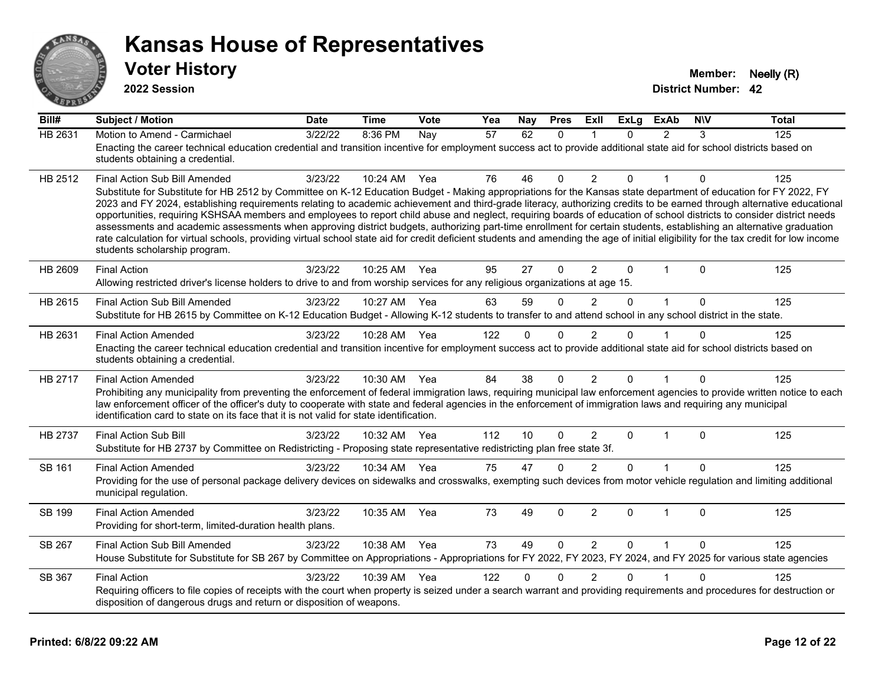

**2022 Session**

| Bill#          | <b>Subject / Motion</b>                                                                                                                                                                                                                                                                                                                                                                                                                                                                                                                                                                                                                                                                                                                                                                                                                                                                                                                               | <b>Date</b> | <b>Time</b>  | Vote | Yea | Nay          | <b>Pres</b>  | ExIl           | <b>ExLg</b> | <b>ExAb</b>    | <b>NIV</b>  | <b>Total</b> |
|----------------|-------------------------------------------------------------------------------------------------------------------------------------------------------------------------------------------------------------------------------------------------------------------------------------------------------------------------------------------------------------------------------------------------------------------------------------------------------------------------------------------------------------------------------------------------------------------------------------------------------------------------------------------------------------------------------------------------------------------------------------------------------------------------------------------------------------------------------------------------------------------------------------------------------------------------------------------------------|-------------|--------------|------|-----|--------------|--------------|----------------|-------------|----------------|-------------|--------------|
| <b>HB 2631</b> | Motion to Amend - Carmichael<br>Enacting the career technical education credential and transition incentive for employment success act to provide additional state aid for school districts based on<br>students obtaining a credential.                                                                                                                                                                                                                                                                                                                                                                                                                                                                                                                                                                                                                                                                                                              | 3/22/22     | 8:36 PM      | Nay  | 57  | 62           | $\mathbf{0}$ | -1             | $\Omega$    | $\overline{2}$ | 3           | 125          |
| HB 2512        | Final Action Sub Bill Amended<br>Substitute for Substitute for HB 2512 by Committee on K-12 Education Budget - Making appropriations for the Kansas state department of education for FY 2022, FY<br>2023 and FY 2024, establishing requirements relating to academic achievement and third-grade literacy, authorizing credits to be earned through alternative educational<br>opportunities, requiring KSHSAA members and employees to report child abuse and neglect, requiring boards of education of school districts to consider district needs<br>assessments and academic assessments when approving district budgets, authorizing part-time enrollment for certain students, establishing an alternative graduation<br>rate calculation for virtual schools, providing virtual school state aid for credit deficient students and amending the age of initial eligibility for the tax credit for low income<br>students scholarship program. | 3/23/22     | 10:24 AM Yea |      | 76  | 46           | $\mathbf{0}$ | 2              | 0           |                | $\mathbf 0$ | 125          |
| HB 2609        | <b>Final Action</b><br>Allowing restricted driver's license holders to drive to and from worship services for any religious organizations at age 15.                                                                                                                                                                                                                                                                                                                                                                                                                                                                                                                                                                                                                                                                                                                                                                                                  | 3/23/22     | 10:25 AM Yea |      | 95  | 27           | $\mathbf 0$  | $\overline{2}$ | 0           | 1              | $\mathbf 0$ | 125          |
| HB 2615        | Final Action Sub Bill Amended<br>Substitute for HB 2615 by Committee on K-12 Education Budget - Allowing K-12 students to transfer to and attend school in any school district in the state.                                                                                                                                                                                                                                                                                                                                                                                                                                                                                                                                                                                                                                                                                                                                                          | 3/23/22     | 10:27 AM     | Yea  | 63  | 59           | $\Omega$     | 2              | 0           | $\overline{1}$ | $\Omega$    | 125          |
| HB 2631        | <b>Final Action Amended</b><br>Enacting the career technical education credential and transition incentive for employment success act to provide additional state aid for school districts based on<br>students obtaining a credential.                                                                                                                                                                                                                                                                                                                                                                                                                                                                                                                                                                                                                                                                                                               | 3/23/22     | 10:28 AM Yea |      | 122 | $\Omega$     | 0            | 2              | 0           |                | ∩           | 125          |
| HB 2717        | <b>Final Action Amended</b><br>Prohibiting any municipality from preventing the enforcement of federal immigration laws, requiring municipal law enforcement agencies to provide written notice to each<br>law enforcement officer of the officer's duty to cooperate with state and federal agencies in the enforcement of immigration laws and requiring any municipal<br>identification card to state on its face that it is not valid for state identification.                                                                                                                                                                                                                                                                                                                                                                                                                                                                                   | 3/23/22     | 10:30 AM Yea |      | 84  | 38           | $\Omega$     | $\overline{2}$ | 0           |                | $\mathbf 0$ | 125          |
| <b>HB 2737</b> | Final Action Sub Bill<br>Substitute for HB 2737 by Committee on Redistricting - Proposing state representative redistricting plan free state 3f.                                                                                                                                                                                                                                                                                                                                                                                                                                                                                                                                                                                                                                                                                                                                                                                                      | 3/23/22     | 10:32 AM     | Yea  | 112 | 10           | $\Omega$     | 2              | $\Omega$    | 1              | $\Omega$    | 125          |
| <b>SB 161</b>  | <b>Final Action Amended</b><br>Providing for the use of personal package delivery devices on sidewalks and crosswalks, exempting such devices from motor vehicle regulation and limiting additional<br>municipal regulation.                                                                                                                                                                                                                                                                                                                                                                                                                                                                                                                                                                                                                                                                                                                          | 3/23/22     | 10:34 AM Yea |      | 75  | 47           | $\Omega$     | 2              | $\Omega$    |                | $\Omega$    | 125          |
| SB 199         | <b>Final Action Amended</b><br>Providing for short-term, limited-duration health plans.                                                                                                                                                                                                                                                                                                                                                                                                                                                                                                                                                                                                                                                                                                                                                                                                                                                               | 3/23/22     | 10:35 AM     | Yea  | 73  | 49           | 0            | $\overline{2}$ | 0           | $\mathbf 1$    | $\Omega$    | 125          |
| SB 267         | Final Action Sub Bill Amended<br>House Substitute for Substitute for SB 267 by Committee on Appropriations - Appropriations for FY 2022, FY 2023, FY 2024, and FY 2025 for various state agencies                                                                                                                                                                                                                                                                                                                                                                                                                                                                                                                                                                                                                                                                                                                                                     | 3/23/22     | 10:38 AM     | Yea  | 73  | 49           | $\Omega$     | 2              | $\Omega$    | $\mathbf{1}$   | $\Omega$    | 125          |
| SB 367         | <b>Final Action</b><br>Requiring officers to file copies of receipts with the court when property is seized under a search warrant and providing requirements and procedures for destruction or<br>disposition of dangerous drugs and return or disposition of weapons.                                                                                                                                                                                                                                                                                                                                                                                                                                                                                                                                                                                                                                                                               | 3/23/22     | 10:39 AM Yea |      | 122 | $\mathbf{0}$ | $\Omega$     | $\overline{2}$ | 0           |                | $\Omega$    | 125          |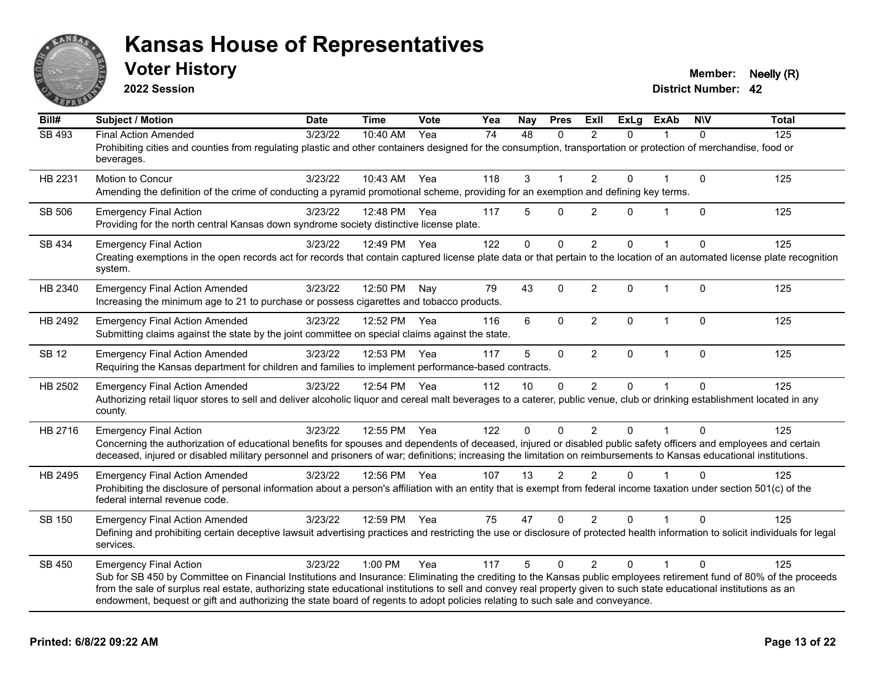

**2022 Session**

**Voter History Member: Neelly (R)** 

| Bill#         | <b>Subject / Motion</b>                                                                                                                                                                                                                                                                                                                                                                                                                                                                                        | <b>Date</b> | <b>Time</b>  | Vote | Yea | Nay      | <b>Pres</b>    | ExIl           | <b>ExLg</b>  | <b>ExAb</b>  | <b>NIV</b>   | <b>Total</b> |
|---------------|----------------------------------------------------------------------------------------------------------------------------------------------------------------------------------------------------------------------------------------------------------------------------------------------------------------------------------------------------------------------------------------------------------------------------------------------------------------------------------------------------------------|-------------|--------------|------|-----|----------|----------------|----------------|--------------|--------------|--------------|--------------|
| <b>SB 493</b> | <b>Final Action Amended</b><br>Prohibiting cities and counties from regulating plastic and other containers designed for the consumption, transportation or protection of merchandise, food or<br>beverages.                                                                                                                                                                                                                                                                                                   | 3/23/22     | 10:40 AM     | Yea  | 74  | 48       | 0              | $\overline{2}$ | $\Omega$     |              | $\Omega$     | 125          |
| HB 2231       | Motion to Concur<br>Amending the definition of the crime of conducting a pyramid promotional scheme, providing for an exemption and defining key terms.                                                                                                                                                                                                                                                                                                                                                        | 3/23/22     | 10:43 AM Yea |      | 118 | 3        |                | $\overline{2}$ | $\Omega$     |              | $\mathbf 0$  | 125          |
| SB 506        | <b>Emergency Final Action</b><br>Providing for the north central Kansas down syndrome society distinctive license plate.                                                                                                                                                                                                                                                                                                                                                                                       | 3/23/22     | 12:48 PM     | Yea  | 117 | 5        | $\mathbf 0$    | 2              | $\Omega$     | 1            | $\Omega$     | 125          |
| SB 434        | <b>Emergency Final Action</b><br>Creating exemptions in the open records act for records that contain captured license plate data or that pertain to the location of an automated license plate recognition<br>system.                                                                                                                                                                                                                                                                                         | 3/23/22     | 12:49 PM Yea |      | 122 | $\Omega$ | $\mathbf 0$    | 2              | $\Omega$     | $\mathbf{1}$ | $\Omega$     | 125          |
| HB 2340       | <b>Emergency Final Action Amended</b><br>Increasing the minimum age to 21 to purchase or possess cigarettes and tobacco products.                                                                                                                                                                                                                                                                                                                                                                              | 3/23/22     | 12:50 PM     | Nay  | 79  | 43       | $\Omega$       | $\overline{2}$ | $\mathbf{0}$ | $\mathbf 1$  | $\Omega$     | 125          |
| HB 2492       | <b>Emergency Final Action Amended</b><br>Submitting claims against the state by the joint committee on special claims against the state.                                                                                                                                                                                                                                                                                                                                                                       | 3/23/22     | 12:52 PM     | Yea  | 116 | 6        | $\Omega$       | $\overline{2}$ | $\Omega$     | $\mathbf 1$  | $\mathbf{0}$ | 125          |
| <b>SB 12</b>  | <b>Emergency Final Action Amended</b><br>Requiring the Kansas department for children and families to implement performance-based contracts.                                                                                                                                                                                                                                                                                                                                                                   | 3/23/22     | 12:53 PM     | Yea  | 117 | 5        | $\mathbf 0$    | $\overline{2}$ | 0            | $\mathbf{1}$ | $\mathbf{0}$ | 125          |
| HB 2502       | <b>Emergency Final Action Amended</b><br>Authorizing retail liquor stores to sell and deliver alcoholic liquor and cereal malt beverages to a caterer, public venue, club or drinking establishment located in any<br>county.                                                                                                                                                                                                                                                                                  | 3/23/22     | 12:54 PM Yea |      | 112 | 10       | $\Omega$       | $\overline{2}$ | 0            |              | $\Omega$     | 125          |
| HB 2716       | <b>Emergency Final Action</b><br>Concerning the authorization of educational benefits for spouses and dependents of deceased, injured or disabled public safety officers and employees and certain<br>deceased, injured or disabled military personnel and prisoners of war; definitions; increasing the limitation on reimbursements to Kansas educational institutions.                                                                                                                                      | 3/23/22     | 12:55 PM Yea |      | 122 | 0        | $\mathbf 0$    | $\overline{2}$ | $\Omega$     |              | $\Omega$     | 125          |
| HB 2495       | <b>Emergency Final Action Amended</b><br>Prohibiting the disclosure of personal information about a person's affiliation with an entity that is exempt from federal income taxation under section 501(c) of the<br>federal internal revenue code.                                                                                                                                                                                                                                                              | 3/23/22     | 12:56 PM Yea |      | 107 | 13       | $\overline{2}$ | 2              | $\mathbf{0}$ |              | $\Omega$     | 125          |
| SB 150        | <b>Emergency Final Action Amended</b><br>Defining and prohibiting certain deceptive lawsuit advertising practices and restricting the use or disclosure of protected health information to solicit individuals for legal<br>services.                                                                                                                                                                                                                                                                          | 3/23/22     | 12:59 PM Yea |      | 75  | 47       | $\mathbf{0}$   | $\overline{2}$ | 0            |              | $\Omega$     | 125          |
| SB 450        | <b>Emergency Final Action</b><br>Sub for SB 450 by Committee on Financial Institutions and Insurance: Eliminating the crediting to the Kansas public employees retirement fund of 80% of the proceeds<br>from the sale of surplus real estate, authorizing state educational institutions to sell and convey real property given to such state educational institutions as an<br>endowment, bequest or gift and authorizing the state board of regents to adopt policies relating to such sale and conveyance. | 3/23/22     | 1:00 PM      | Yea  | 117 | 5        | $\Omega$       | $\overline{2}$ | $\mathbf{0}$ | 1            | $\Omega$     | 125          |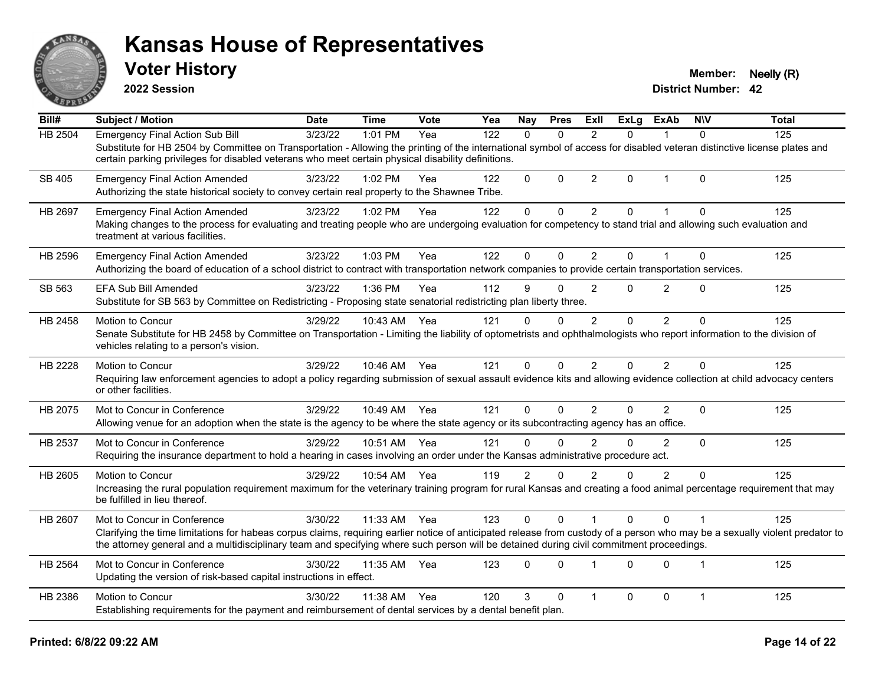

**2022 Session**

**Voter History Member: Neelly (R)** 

| Bill#   | Subject / Motion                                                                                                                                                                                                                                                                                                         | <b>Date</b> | <b>Time</b>  | Vote | Yea | <b>Nay</b>     | <b>Pres</b>  | ExII           | <b>ExLg</b> | <b>ExAb</b>    | <b>NIV</b>     | <b>Total</b> |
|---------|--------------------------------------------------------------------------------------------------------------------------------------------------------------------------------------------------------------------------------------------------------------------------------------------------------------------------|-------------|--------------|------|-----|----------------|--------------|----------------|-------------|----------------|----------------|--------------|
| HB 2504 | <b>Emergency Final Action Sub Bill</b>                                                                                                                                                                                                                                                                                   | 3/23/22     | 1:01 PM      | Yea  | 122 | $\Omega$       | $\Omega$     | 2              | 0           |                | $\Omega$       | 125          |
|         | Substitute for HB 2504 by Committee on Transportation - Allowing the printing of the international symbol of access for disabled veteran distinctive license plates and<br>certain parking privileges for disabled veterans who meet certain physical disability definitions.                                            |             |              |      |     |                |              |                |             |                |                |              |
| SB 405  | <b>Emergency Final Action Amended</b><br>Authorizing the state historical society to convey certain real property to the Shawnee Tribe.                                                                                                                                                                                  | 3/23/22     | 1:02 PM      | Yea  | 122 | $\Omega$       | $\Omega$     | $\overline{2}$ | 0           | $\mathbf 1$    | $\Omega$       | 125          |
| HB 2697 | <b>Emergency Final Action Amended</b><br>Making changes to the process for evaluating and treating people who are undergoing evaluation for competency to stand trial and allowing such evaluation and                                                                                                                   | 3/23/22     | 1:02 PM      | Yea  | 122 | 0              | 0            | $\overline{2}$ | 0           |                | $\Omega$       | 125          |
|         | treatment at various facilities.                                                                                                                                                                                                                                                                                         |             |              |      |     |                |              |                |             |                |                |              |
| HB 2596 | <b>Emergency Final Action Amended</b>                                                                                                                                                                                                                                                                                    | 3/23/22     | 1:03 PM      | Yea  | 122 | 0              | $\Omega$     | 2              | $\Omega$    | 1              | $\mathbf 0$    | 125          |
|         | Authorizing the board of education of a school district to contract with transportation network companies to provide certain transportation services.                                                                                                                                                                    |             |              |      |     |                |              |                |             |                |                |              |
| SB 563  | <b>EFA Sub Bill Amended</b><br>Substitute for SB 563 by Committee on Redistricting - Proposing state senatorial redistricting plan liberty three.                                                                                                                                                                        | 3/23/22     | 1:36 PM      | Yea  | 112 | 9              | $\Omega$     | $\overline{2}$ | 0           | $\overline{2}$ | $\Omega$       | 125          |
| HB 2458 | Motion to Concur<br>Senate Substitute for HB 2458 by Committee on Transportation - Limiting the liability of optometrists and ophthalmologists who report information to the division of<br>vehicles relating to a person's vision.                                                                                      | 3/29/22     | 10:43 AM     | Yea  | 121 | 0              | $\mathbf{0}$ | $\overline{2}$ | $\Omega$    | $\overline{2}$ | $\Omega$       | 125          |
| HB 2228 | Motion to Concur                                                                                                                                                                                                                                                                                                         | 3/29/22     | 10:46 AM Yea |      | 121 | 0              | $\Omega$     | $\overline{2}$ | 0           | $\overline{2}$ | $\mathbf{0}$   | 125          |
|         | Requiring law enforcement agencies to adopt a policy regarding submission of sexual assault evidence kits and allowing evidence collection at child advocacy centers<br>or other facilities.                                                                                                                             |             |              |      |     |                |              |                |             |                |                |              |
| HB 2075 | Mot to Concur in Conference<br>Allowing venue for an adoption when the state is the agency to be where the state agency or its subcontracting agency has an office.                                                                                                                                                      | 3/29/22     | 10:49 AM     | Yea  | 121 | $\Omega$       | $\Omega$     | 2              | $\Omega$    | $\overline{2}$ | $\mathbf 0$    | 125          |
| HB 2537 | Mot to Concur in Conference<br>Requiring the insurance department to hold a hearing in cases involving an order under the Kansas administrative procedure act.                                                                                                                                                           | 3/29/22     | 10:51 AM     | Yea  | 121 | 0              | $\Omega$     | $\overline{2}$ | 0           | 2              | $\mathbf{0}$   | 125          |
| HB 2605 | <b>Motion to Concur</b><br>Increasing the rural population requirement maximum for the veterinary training program for rural Kansas and creating a food animal percentage requirement that may<br>be fulfilled in lieu thereof.                                                                                          | 3/29/22     | 10:54 AM     | Yea  | 119 | $\overline{2}$ | $\Omega$     | 2              | 0           | $\overline{2}$ | $\Omega$       | 125          |
| HB 2607 | Mot to Concur in Conference                                                                                                                                                                                                                                                                                              | 3/30/22     | 11:33 AM     | Yea  | 123 | 0              | $\mathbf{0}$ |                | 0           | $\Omega$       |                | 125          |
|         | Clarifying the time limitations for habeas corpus claims, requiring earlier notice of anticipated release from custody of a person who may be a sexually violent predator to<br>the attorney general and a multidisciplinary team and specifying where such person will be detained during civil commitment proceedings. |             |              |      |     |                |              |                |             |                |                |              |
| HB 2564 | Mot to Concur in Conference<br>Updating the version of risk-based capital instructions in effect.                                                                                                                                                                                                                        | 3/30/22     | 11:35 AM     | Yea  | 123 | 0              | $\Omega$     |                | 0           | $\Omega$       | $\overline{1}$ | 125          |
| HB 2386 | Motion to Concur                                                                                                                                                                                                                                                                                                         | 3/30/22     | 11:38 AM     | Yea  | 120 | 3              | $\Omega$     | 1              | 0           | $\mathbf 0$    | $\mathbf{1}$   | 125          |
|         | Establishing requirements for the payment and reimbursement of dental services by a dental benefit plan.                                                                                                                                                                                                                 |             |              |      |     |                |              |                |             |                |                |              |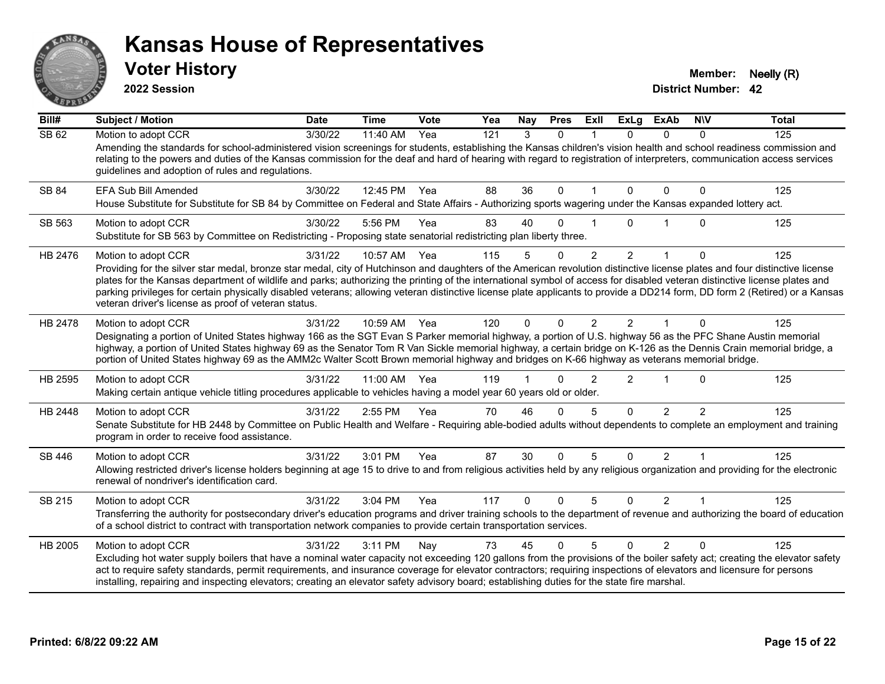

**2022 Session**

**Voter History Member: Neelly (R)** 

| Bill#   | <b>Subject / Motion</b>                                                                                                                                                                                                                                                                                                                                                                                                                                                                                                                                                                          | <b>Date</b> | <b>Time</b> | Vote | Yea | Nay      | <b>Pres</b>  | ExII           | <b>ExLg</b>    | <b>ExAb</b>    | <b>NIV</b>     | <b>Total</b> |
|---------|--------------------------------------------------------------------------------------------------------------------------------------------------------------------------------------------------------------------------------------------------------------------------------------------------------------------------------------------------------------------------------------------------------------------------------------------------------------------------------------------------------------------------------------------------------------------------------------------------|-------------|-------------|------|-----|----------|--------------|----------------|----------------|----------------|----------------|--------------|
| SB 62   | Motion to adopt CCR                                                                                                                                                                                                                                                                                                                                                                                                                                                                                                                                                                              | 3/30/22     | 11:40 AM    | Yea  | 121 | 3        | $\Omega$     |                | 0              | 0              | 0              | 125          |
|         | Amending the standards for school-administered vision screenings for students, establishing the Kansas children's vision health and school readiness commission and<br>relating to the powers and duties of the Kansas commission for the deaf and hard of hearing with regard to registration of interpreters, communication access services<br>guidelines and adoption of rules and regulations.                                                                                                                                                                                               |             |             |      |     |          |              |                |                |                |                |              |
| SB 84   | EFA Sub Bill Amended<br>House Substitute for Substitute for SB 84 by Committee on Federal and State Affairs - Authorizing sports wagering under the Kansas expanded lottery act.                                                                                                                                                                                                                                                                                                                                                                                                                 | 3/30/22     | 12:45 PM    | Yea  | 88  | 36       | 0            |                | $\mathbf{0}$   | 0              | 0              | 125          |
|         |                                                                                                                                                                                                                                                                                                                                                                                                                                                                                                                                                                                                  |             |             |      |     |          |              |                |                |                |                |              |
| SB 563  | Motion to adopt CCR<br>Substitute for SB 563 by Committee on Redistricting - Proposing state senatorial redistricting plan liberty three.                                                                                                                                                                                                                                                                                                                                                                                                                                                        | 3/30/22     | 5:56 PM     | Yea  | 83  | 40       | 0            |                | 0              |                | $\Omega$       | 125          |
| HB 2476 | Motion to adopt CCR                                                                                                                                                                                                                                                                                                                                                                                                                                                                                                                                                                              | 3/31/22     | 10:57 AM    | Yea  | 115 | 5        | 0            | $\overline{2}$ | $\overline{2}$ | 1              | 0              | 125          |
|         | Providing for the silver star medal, bronze star medal, city of Hutchinson and daughters of the American revolution distinctive license plates and four distinctive license<br>plates for the Kansas department of wildlife and parks; authorizing the printing of the international symbol of access for disabled veteran distinctive license plates and<br>parking privileges for certain physically disabled veterans; allowing veteran distinctive license plate applicants to provide a DD214 form, DD form 2 (Retired) or a Kansas<br>veteran driver's license as proof of veteran status. |             |             |      |     |          |              |                |                |                |                |              |
| HB 2478 | Motion to adopt CCR                                                                                                                                                                                                                                                                                                                                                                                                                                                                                                                                                                              | 3/31/22     | 10:59 AM    | Yea  | 120 | $\Omega$ | $\mathbf{0}$ | $\overline{2}$ | 2              | 1              | $\Omega$       | 125          |
|         | Designating a portion of United States highway 166 as the SGT Evan S Parker memorial highway, a portion of U.S. highway 56 as the PFC Shane Austin memorial<br>highway, a portion of United States highway 69 as the Senator Tom R Van Sickle memorial highway, a certain bridge on K-126 as the Dennis Crain memorial bridge, a<br>portion of United States highway 69 as the AMM2c Walter Scott Brown memorial highway and bridges on K-66 highway as veterans memorial bridge.                                                                                                                |             |             |      |     |          |              |                |                |                |                |              |
| HB 2595 | Motion to adopt CCR                                                                                                                                                                                                                                                                                                                                                                                                                                                                                                                                                                              | 3/31/22     | 11:00 AM    | Yea  | 119 |          | O            | 2              | $\overline{2}$ | $\overline{1}$ | $\Omega$       | 125          |
|         | Making certain antique vehicle titling procedures applicable to vehicles having a model year 60 years old or older.                                                                                                                                                                                                                                                                                                                                                                                                                                                                              |             |             |      |     |          |              |                |                |                |                |              |
| HB 2448 | Motion to adopt CCR                                                                                                                                                                                                                                                                                                                                                                                                                                                                                                                                                                              | 3/31/22     | 2:55 PM     | Yea  | 70  | 46       | $\Omega$     | 5              | $\Omega$       | $\overline{2}$ | $\mathcal{P}$  | 125          |
|         | Senate Substitute for HB 2448 by Committee on Public Health and Welfare - Requiring able-bodied adults without dependents to complete an employment and training<br>program in order to receive food assistance.                                                                                                                                                                                                                                                                                                                                                                                 |             |             |      |     |          |              |                |                |                |                |              |
| SB 446  | Motion to adopt CCR                                                                                                                                                                                                                                                                                                                                                                                                                                                                                                                                                                              | 3/31/22     | 3:01 PM     | Yea  | 87  | 30       | $\Omega$     | 5              | $\Omega$       | $\overline{2}$ |                | 125          |
|         | Allowing restricted driver's license holders beginning at age 15 to drive to and from religious activities held by any religious organization and providing for the electronic<br>renewal of nondriver's identification card.                                                                                                                                                                                                                                                                                                                                                                    |             |             |      |     |          |              |                |                |                |                |              |
| SB 215  | Motion to adopt CCR                                                                                                                                                                                                                                                                                                                                                                                                                                                                                                                                                                              | 3/31/22     | 3:04 PM     | Yea  | 117 | $\Omega$ | $\Omega$     | 5              | $\Omega$       | $\overline{2}$ | $\overline{1}$ | 125          |
|         | Transferring the authority for postsecondary driver's education programs and driver training schools to the department of revenue and authorizing the board of education<br>of a school district to contract with transportation network companies to provide certain transportation services.                                                                                                                                                                                                                                                                                                   |             |             |      |     |          |              |                |                |                |                |              |
| HB 2005 | Motion to adopt CCR                                                                                                                                                                                                                                                                                                                                                                                                                                                                                                                                                                              | 3/31/22     | 3:11 PM     | Nay  | 73  | 45       | $\Omega$     | 5              | $\Omega$       | $\overline{2}$ | $\Omega$       | 125          |
|         | Excluding hot water supply boilers that have a nominal water capacity not exceeding 120 gallons from the provisions of the boiler safety act; creating the elevator safety<br>act to require safety standards, permit requirements, and insurance coverage for elevator contractors; requiring inspections of elevators and licensure for persons<br>installing, repairing and inspecting elevators; creating an elevator safety advisory board; establishing duties for the state fire marshal.                                                                                                 |             |             |      |     |          |              |                |                |                |                |              |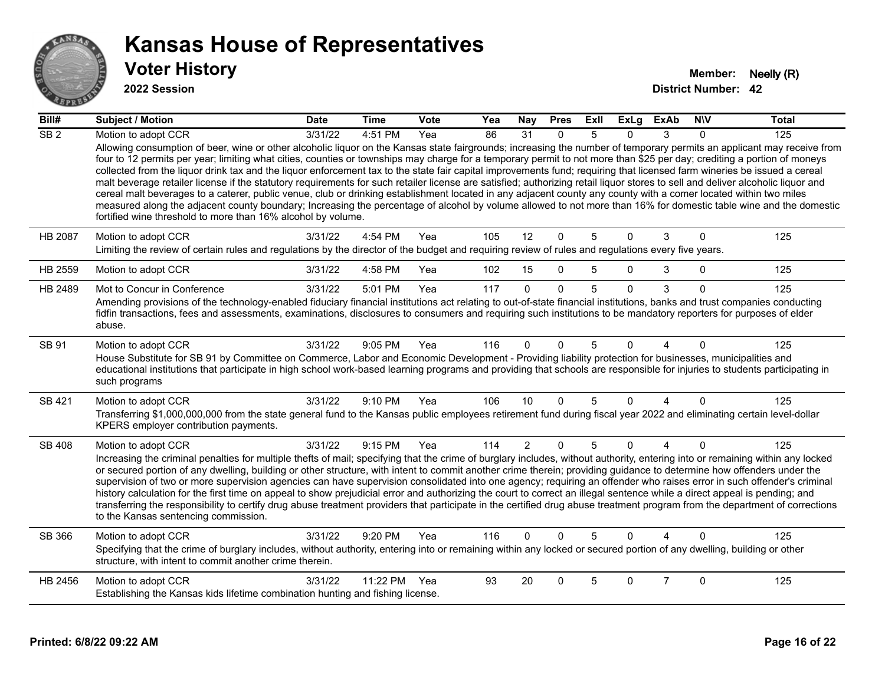

| Bill#           | <b>Subject / Motion</b>                                                                                                                                                                                                                                                                                                                                                                                                                                                                                                                                                                                                                                                                                                                                                                                                                                                                                                                                                                                                                                                                                                                          | <b>Date</b> | <b>Time</b> | Vote | Yea | Nay            | <b>Pres</b>  | ExIl | <b>ExLg</b> | <b>ExAb</b>    | <b>NIV</b>   | <b>Total</b> |
|-----------------|--------------------------------------------------------------------------------------------------------------------------------------------------------------------------------------------------------------------------------------------------------------------------------------------------------------------------------------------------------------------------------------------------------------------------------------------------------------------------------------------------------------------------------------------------------------------------------------------------------------------------------------------------------------------------------------------------------------------------------------------------------------------------------------------------------------------------------------------------------------------------------------------------------------------------------------------------------------------------------------------------------------------------------------------------------------------------------------------------------------------------------------------------|-------------|-------------|------|-----|----------------|--------------|------|-------------|----------------|--------------|--------------|
| SB <sub>2</sub> | Motion to adopt CCR<br>Allowing consumption of beer, wine or other alcoholic liquor on the Kansas state fairgrounds; increasing the number of temporary permits an applicant may receive from<br>four to 12 permits per year; limiting what cities, counties or townships may charge for a temporary permit to not more than \$25 per day; crediting a portion of moneys<br>collected from the liquor drink tax and the liquor enforcement tax to the state fair capital improvements fund; requiring that licensed farm wineries be issued a cereal<br>malt beverage retailer license if the statutory requirements for such retailer license are satisfied; authorizing retail liquor stores to sell and deliver alcoholic liquor and<br>cereal malt beverages to a caterer, public venue, club or drinking establishment located in any adjacent county any county with a comer located within two miles<br>measured along the adjacent county boundary; Increasing the percentage of alcohol by volume allowed to not more than 16% for domestic table wine and the domestic<br>fortified wine threshold to more than 16% alcohol by volume. | 3/31/22     | 4:51 PM     | Yea  | 86  | 31             | $\mathbf{0}$ | 5    | 0           | 3              | $\Omega$     | 125          |
| <b>HB 2087</b>  | Motion to adopt CCR<br>Limiting the review of certain rules and regulations by the director of the budget and requiring review of rules and regulations every five years.                                                                                                                                                                                                                                                                                                                                                                                                                                                                                                                                                                                                                                                                                                                                                                                                                                                                                                                                                                        | 3/31/22     | 4:54 PM     | Yea  | 105 | 12             | $\mathbf{0}$ | 5    | $\Omega$    | 3              | $\Omega$     | 125          |
| HB 2559         | Motion to adopt CCR                                                                                                                                                                                                                                                                                                                                                                                                                                                                                                                                                                                                                                                                                                                                                                                                                                                                                                                                                                                                                                                                                                                              | 3/31/22     | 4:58 PM     | Yea  | 102 | 15             | $\Omega$     | 5    | $\Omega$    | 3              | $\mathbf 0$  | 125          |
| HB 2489         | Mot to Concur in Conference<br>Amending provisions of the technology-enabled fiduciary financial institutions act relating to out-of-state financial institutions, banks and trust companies conducting<br>fidfin transactions, fees and assessments, examinations, disclosures to consumers and requiring such institutions to be mandatory reporters for purposes of elder<br>abuse.                                                                                                                                                                                                                                                                                                                                                                                                                                                                                                                                                                                                                                                                                                                                                           | 3/31/22     | 5:01 PM     | Yea  | 117 | $\Omega$       | $\Omega$     | 5    | $\Omega$    | 3              | $\Omega$     | 125          |
| SB 91           | Motion to adopt CCR<br>House Substitute for SB 91 by Committee on Commerce, Labor and Economic Development - Providing liability protection for businesses, municipalities and<br>educational institutions that participate in high school work-based learning programs and providing that schools are responsible for injuries to students participating in<br>such programs                                                                                                                                                                                                                                                                                                                                                                                                                                                                                                                                                                                                                                                                                                                                                                    | 3/31/22     | 9:05 PM     | Yea  | 116 | $\Omega$       | $\Omega$     | 5    | 0           |                | $\Omega$     | 125          |
| SB 421          | Motion to adopt CCR<br>Transferring \$1,000,000,000 from the state general fund to the Kansas public employees retirement fund during fiscal year 2022 and eliminating certain level-dollar<br>KPERS employer contribution payments.                                                                                                                                                                                                                                                                                                                                                                                                                                                                                                                                                                                                                                                                                                                                                                                                                                                                                                             | 3/31/22     | 9:10 PM     | Yea  | 106 | 10             | $\Omega$     | 5    | $\Omega$    | 4              | $\mathbf{0}$ | 125          |
| <b>SB 408</b>   | Motion to adopt CCR<br>Increasing the criminal penalties for multiple thefts of mail; specifying that the crime of burglary includes, without authority, entering into or remaining within any locked<br>or secured portion of any dwelling, building or other structure, with intent to commit another crime therein; providing guidance to determine how offenders under the<br>supervision of two or more supervision agencies can have supervision consolidated into one agency; requiring an offender who raises error in such offender's criminal<br>history calculation for the first time on appeal to show prejudicial error and authorizing the court to correct an illegal sentence while a direct appeal is pending; and<br>transferring the responsibility to certify drug abuse treatment providers that participate in the certified drug abuse treatment program from the department of corrections<br>to the Kansas sentencing commission.                                                                                                                                                                                      | 3/31/22     | 9:15 PM     | Yea  | 114 | $\overline{2}$ | $\mathbf{0}$ | 5    | $\Omega$    | 4              | $\Omega$     | 125          |
| SB 366          | Motion to adopt CCR<br>Specifying that the crime of burglary includes, without authority, entering into or remaining within any locked or secured portion of any dwelling, building or other<br>structure, with intent to commit another crime therein.                                                                                                                                                                                                                                                                                                                                                                                                                                                                                                                                                                                                                                                                                                                                                                                                                                                                                          | 3/31/22     | $9:20$ PM   | Yea  | 116 | $\Omega$       | $\Omega$     | 5    | $\Omega$    |                | $\Omega$     | 125          |
| HB 2456         | Motion to adopt CCR<br>Establishing the Kansas kids lifetime combination hunting and fishing license.                                                                                                                                                                                                                                                                                                                                                                                                                                                                                                                                                                                                                                                                                                                                                                                                                                                                                                                                                                                                                                            | 3/31/22     | 11:22 PM    | Yea  | 93  | 20             | $\Omega$     | 5    | 0           | $\overline{7}$ | $\Omega$     | 125          |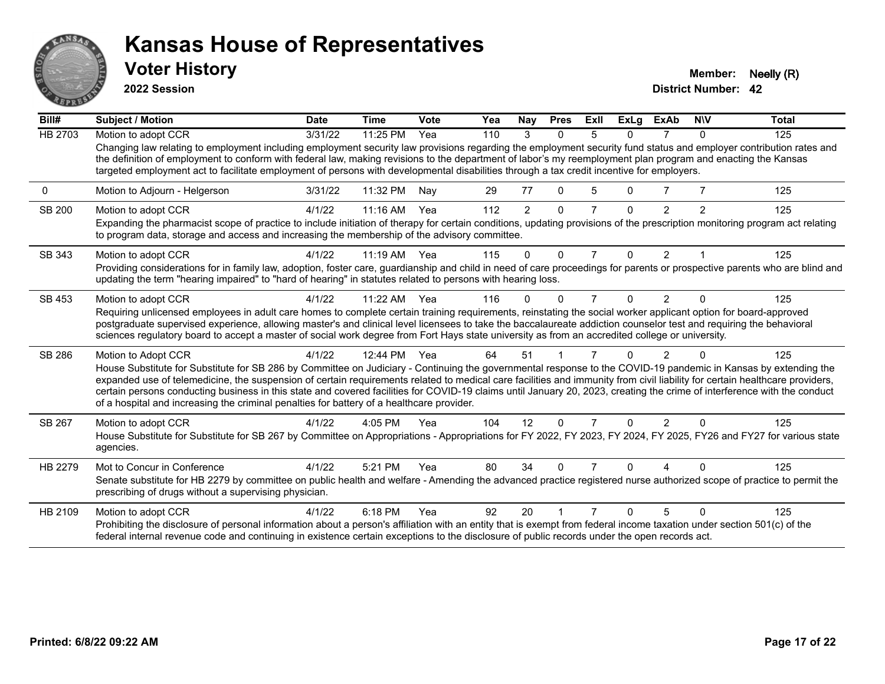

**2022 Session**

**Voter History Member: Neelly (R)** 

| Bill#         | <b>Subject / Motion</b>                                                                                                                                                                                                                                                                                                                                                                                                                                                         | <b>Date</b> | <b>Time</b> | Vote | Yea | Nay            | <b>Pres</b>  | ExII           | <b>ExLg</b> | ExAb           | <b>NIV</b> | <b>Total</b> |
|---------------|---------------------------------------------------------------------------------------------------------------------------------------------------------------------------------------------------------------------------------------------------------------------------------------------------------------------------------------------------------------------------------------------------------------------------------------------------------------------------------|-------------|-------------|------|-----|----------------|--------------|----------------|-------------|----------------|------------|--------------|
| HB 2703       | Motion to adopt CCR                                                                                                                                                                                                                                                                                                                                                                                                                                                             | 3/31/22     | 11:25 PM    | Yea  | 110 | 3              | $\Omega$     | 5              | 0           |                | $\Omega$   | 125          |
|               | Changing law relating to employment including employment security law provisions regarding the employment security fund status and employer contribution rates and<br>the definition of employment to conform with federal law, making revisions to the department of labor's my reemployment plan program and enacting the Kansas<br>targeted employment act to facilitate employment of persons with developmental disabilities through a tax credit incentive for employers. |             |             |      |     |                |              |                |             |                |            |              |
| 0             | Motion to Adjourn - Helgerson                                                                                                                                                                                                                                                                                                                                                                                                                                                   | 3/31/22     | 11:32 PM    | Nay  | 29  | 77             | $\Omega$     | 5              | 0           |                |            | 125          |
| <b>SB 200</b> | Motion to adopt CCR                                                                                                                                                                                                                                                                                                                                                                                                                                                             | 4/1/22      | 11:16 AM    | Yea  | 112 | $\overline{2}$ | $\Omega$     | 7              | $\Omega$    | $\mathcal{P}$  | 2          | 125          |
|               | Expanding the pharmacist scope of practice to include initiation of therapy for certain conditions, updating provisions of the prescription monitoring program act relating<br>to program data, storage and access and increasing the membership of the advisory committee.                                                                                                                                                                                                     |             |             |      |     |                |              |                |             |                |            |              |
| SB 343        | Motion to adopt CCR                                                                                                                                                                                                                                                                                                                                                                                                                                                             | 4/1/22      | $11:19$ AM  | Yea  | 115 | $\Omega$       | $\Omega$     | $\overline{7}$ | $\Omega$    | $\overline{2}$ |            | 125          |
|               | Providing considerations for in family law, adoption, foster care, guardianship and child in need of care proceedings for parents or prospective parents who are blind and<br>updating the term "hearing impaired" to "hard of hearing" in statutes related to persons with hearing loss.                                                                                                                                                                                       |             |             |      |     |                |              |                |             |                |            |              |
| SB 453        | Motion to adopt CCR                                                                                                                                                                                                                                                                                                                                                                                                                                                             | 4/1/22      | 11:22 AM    | Yea  | 116 | O              | <sup>0</sup> | 7              | 0           | $\overline{2}$ | $\Omega$   | 125          |
|               | Requiring unlicensed employees in adult care homes to complete certain training requirements, reinstating the social worker applicant option for board-approved                                                                                                                                                                                                                                                                                                                 |             |             |      |     |                |              |                |             |                |            |              |
|               | postgraduate supervised experience, allowing master's and clinical level licensees to take the baccalaureate addiction counselor test and requiring the behavioral<br>sciences regulatory board to accept a master of social work degree from Fort Hays state university as from an accredited college or university.                                                                                                                                                           |             |             |      |     |                |              |                |             |                |            |              |
|               |                                                                                                                                                                                                                                                                                                                                                                                                                                                                                 |             |             |      |     |                |              |                |             |                |            |              |
| SB 286        | Motion to Adopt CCR                                                                                                                                                                                                                                                                                                                                                                                                                                                             | 4/1/22      | 12:44 PM    | Yea  | 64  | 51             |              |                | 0           | $\mathcal{P}$  | ∩          | 125          |
|               | House Substitute for Substitute for SB 286 by Committee on Judiciary - Continuing the governmental response to the COVID-19 pandemic in Kansas by extending the<br>expanded use of telemedicine, the suspension of certain requirements related to medical care facilities and immunity from civil liability for certain healthcare providers,                                                                                                                                  |             |             |      |     |                |              |                |             |                |            |              |
|               | certain persons conducting business in this state and covered facilities for COVID-19 claims until January 20, 2023, creating the crime of interference with the conduct                                                                                                                                                                                                                                                                                                        |             |             |      |     |                |              |                |             |                |            |              |
|               | of a hospital and increasing the criminal penalties for battery of a healthcare provider.                                                                                                                                                                                                                                                                                                                                                                                       |             |             |      |     |                |              |                |             |                |            |              |
| SB 267        | Motion to adopt CCR                                                                                                                                                                                                                                                                                                                                                                                                                                                             | 4/1/22      | 4:05 PM     | Yea  | 104 | 12             | $\Omega$     | 7              | 0           | $\mathcal{P}$  | $\Omega$   | 125          |
|               | House Substitute for Substitute for SB 267 by Committee on Appropriations - Appropriations for FY 2022, FY 2023, FY 2024, FY 2025, FY26 and FY27 for various state<br>agencies.                                                                                                                                                                                                                                                                                                 |             |             |      |     |                |              |                |             |                |            |              |
| HB 2279       | Mot to Concur in Conference                                                                                                                                                                                                                                                                                                                                                                                                                                                     | 4/1/22      | 5:21 PM     | Yea  | 80  | 34             | <sup>0</sup> |                | n           |                |            | 125          |
|               | Senate substitute for HB 2279 by committee on public health and welfare - Amending the advanced practice registered nurse authorized scope of practice to permit the<br>prescribing of drugs without a supervising physician.                                                                                                                                                                                                                                                   |             |             |      |     |                |              |                |             |                |            |              |
| HB 2109       | Motion to adopt CCR                                                                                                                                                                                                                                                                                                                                                                                                                                                             | 4/1/22      | 6:18 PM     | Yea  | 92  | 20             |              |                | n           | 5              | ∩          | 125          |
|               | Prohibiting the disclosure of personal information about a person's affiliation with an entity that is exempt from federal income taxation under section 501(c) of the<br>federal internal revenue code and continuing in existence certain exceptions to the disclosure of public records under the open records act.                                                                                                                                                          |             |             |      |     |                |              |                |             |                |            |              |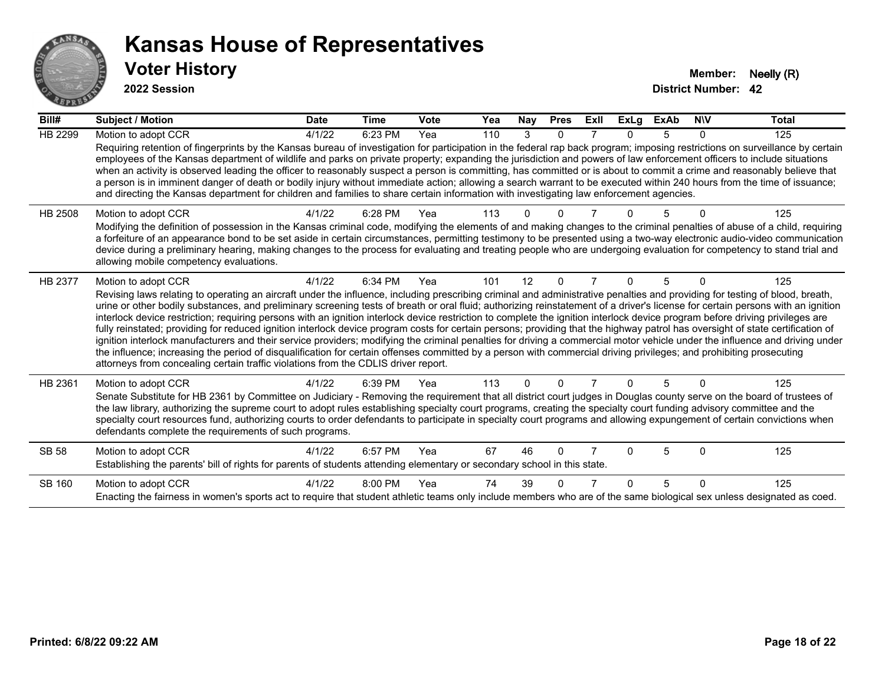

| Bill#          | <b>Subject / Motion</b>                                                                                                                                                                                                                                                                                                                                                                                                                                                                                                                                                                                                                                                                                                                                                                                                                                                                                                                                                                                                                                                                                                                                                                               | <b>Date</b> | Time    | Vote | Yea | Nay      | <b>Pres</b> | ExII           | ExLa | <b>ExAb</b> | <b>NIV</b> | <b>Total</b> |
|----------------|-------------------------------------------------------------------------------------------------------------------------------------------------------------------------------------------------------------------------------------------------------------------------------------------------------------------------------------------------------------------------------------------------------------------------------------------------------------------------------------------------------------------------------------------------------------------------------------------------------------------------------------------------------------------------------------------------------------------------------------------------------------------------------------------------------------------------------------------------------------------------------------------------------------------------------------------------------------------------------------------------------------------------------------------------------------------------------------------------------------------------------------------------------------------------------------------------------|-------------|---------|------|-----|----------|-------------|----------------|------|-------------|------------|--------------|
| <b>HB 2299</b> | Motion to adopt CCR<br>Requiring retention of fingerprints by the Kansas bureau of investigation for participation in the federal rap back program; imposing restrictions on surveillance by certain<br>employees of the Kansas department of wildlife and parks on private property; expanding the jurisdiction and powers of law enforcement officers to include situations<br>when an activity is observed leading the officer to reasonably suspect a person is committing, has committed or is about to commit a crime and reasonably believe that<br>a person is in imminent danger of death or bodily injury without immediate action; allowing a search warrant to be executed within 240 hours from the time of issuance;<br>and directing the Kansas department for children and families to share certain information with investigating law enforcement agencies.                                                                                                                                                                                                                                                                                                                         | 4/1/22      | 6:23 PM | Yea  | 110 | 3        | $\Omega$    |                | 0    | 5           | $\Omega$   | 125          |
| HB 2508        | Motion to adopt CCR<br>Modifying the definition of possession in the Kansas criminal code, modifying the elements of and making changes to the criminal penalties of abuse of a child, requiring<br>a forfeiture of an appearance bond to be set aside in certain circumstances, permitting testimony to be presented using a two-way electronic audio-video communication<br>device during a preliminary hearing, making changes to the process for evaluating and treating people who are undergoing evaluation for competency to stand trial and<br>allowing mobile competency evaluations.                                                                                                                                                                                                                                                                                                                                                                                                                                                                                                                                                                                                        | 4/1/22      | 6:28 PM | Yea  | 113 | U        |             |                |      |             |            | 125          |
| <b>HB 2377</b> | Motion to adopt CCR<br>Revising laws relating to operating an aircraft under the influence, including prescribing criminal and administrative penalties and providing for testing of blood, breath,<br>urine or other bodily substances, and preliminary screening tests of breath or oral fluid; authorizing reinstatement of a driver's license for certain persons with an ignition<br>interlock device restriction; requiring persons with an ignition interlock device restriction to complete the ignition interlock device program before driving privileges are<br>fully reinstated; providing for reduced ignition interlock device program costs for certain persons; providing that the highway patrol has oversight of state certification of<br>ignition interlock manufacturers and their service providers; modifying the criminal penalties for driving a commercial motor vehicle under the influence and driving under<br>the influence; increasing the period of disqualification for certain offenses committed by a person with commercial driving privileges; and prohibiting prosecuting<br>attorneys from concealing certain traffic violations from the CDLIS driver report. | 4/1/22      | 6:34 PM | Yea  | 101 | 12       | $\Omega$    | $\overline{7}$ | 0    | 5           | O          | 125          |
| HB 2361        | Motion to adopt CCR<br>Senate Substitute for HB 2361 by Committee on Judiciary - Removing the requirement that all district court judges in Douglas county serve on the board of trustees of<br>the law library, authorizing the supreme court to adopt rules establishing specialty court programs, creating the specialty court funding advisory committee and the<br>specialty court resources fund, authorizing courts to order defendants to participate in specialty court programs and allowing expungement of certain convictions when<br>defendants complete the requirements of such programs.                                                                                                                                                                                                                                                                                                                                                                                                                                                                                                                                                                                              | 4/1/22      | 6:39 PM | Yea  | 113 | $\Omega$ | $\Omega$    | 7              | 0    | 5           | $\Omega$   | 125          |
| <b>SB 58</b>   | Motion to adopt CCR<br>Establishing the parents' bill of rights for parents of students attending elementary or secondary school in this state.                                                                                                                                                                                                                                                                                                                                                                                                                                                                                                                                                                                                                                                                                                                                                                                                                                                                                                                                                                                                                                                       | 4/1/22      | 6:57 PM | Yea  | 67  | 46       | $\Omega$    |                | U    | 5           | $\Omega$   | 125          |
| SB 160         | Motion to adopt CCR<br>Enacting the fairness in women's sports act to require that student athletic teams only include members who are of the same biological sex unless designated as coed.                                                                                                                                                                                                                                                                                                                                                                                                                                                                                                                                                                                                                                                                                                                                                                                                                                                                                                                                                                                                          | 4/1/22      | 8:00 PM | Yea  | 74  | 39       | ∩           |                | U    | 5           | $\Omega$   | 125          |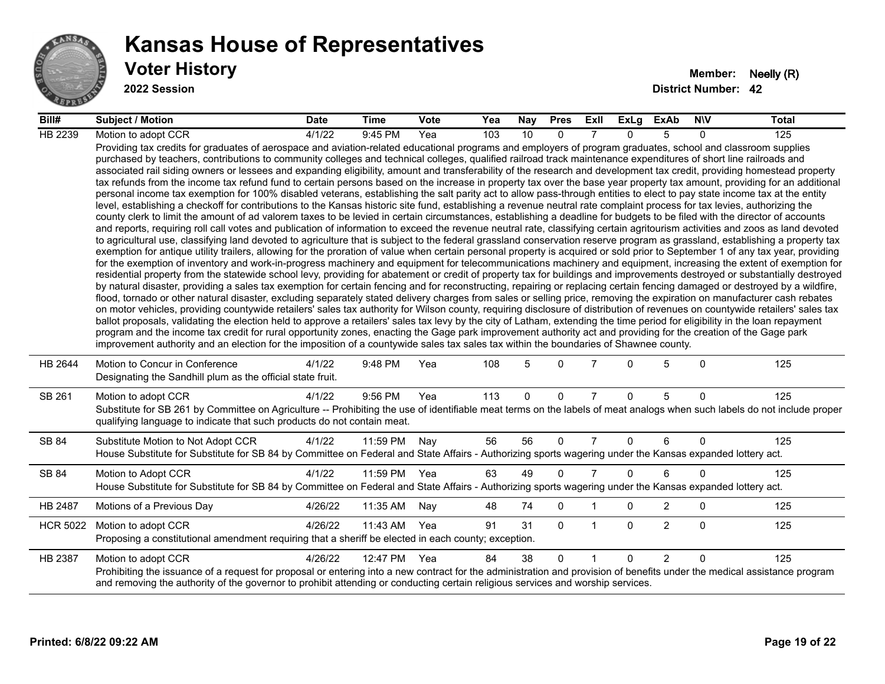

| Bill#           | <b>Subject / Motion</b>                                                                                                                                                                                                                                                                                                                                                                                                                                                                                                                                                                                                                                                                                                                                                                                                                                                                                                                                                                                                                                                                                                                                                                                                                                                                                                                                                                                                                                                                                                                                                                                                                                                                                                                                                                                                                                                                                                                                                                                                                                                                                                                                                                                                                                                                                                                                                                                                                                                                                                                                                                                                                                                                                                                                                                                                                                                                                                                                                                                                                                                                                                                                                     | <b>Date</b> | Time     | <b>Vote</b> | Yea | Nay | <b>Pres</b> | ExII           | ExLg     | ExAb           | <b>NIV</b>   | <b>Total</b> |
|-----------------|-----------------------------------------------------------------------------------------------------------------------------------------------------------------------------------------------------------------------------------------------------------------------------------------------------------------------------------------------------------------------------------------------------------------------------------------------------------------------------------------------------------------------------------------------------------------------------------------------------------------------------------------------------------------------------------------------------------------------------------------------------------------------------------------------------------------------------------------------------------------------------------------------------------------------------------------------------------------------------------------------------------------------------------------------------------------------------------------------------------------------------------------------------------------------------------------------------------------------------------------------------------------------------------------------------------------------------------------------------------------------------------------------------------------------------------------------------------------------------------------------------------------------------------------------------------------------------------------------------------------------------------------------------------------------------------------------------------------------------------------------------------------------------------------------------------------------------------------------------------------------------------------------------------------------------------------------------------------------------------------------------------------------------------------------------------------------------------------------------------------------------------------------------------------------------------------------------------------------------------------------------------------------------------------------------------------------------------------------------------------------------------------------------------------------------------------------------------------------------------------------------------------------------------------------------------------------------------------------------------------------------------------------------------------------------------------------------------------------------------------------------------------------------------------------------------------------------------------------------------------------------------------------------------------------------------------------------------------------------------------------------------------------------------------------------------------------------------------------------------------------------------------------------------------------------|-------------|----------|-------------|-----|-----|-------------|----------------|----------|----------------|--------------|--------------|
| HB 2239         | Motion to adopt CCR                                                                                                                                                                                                                                                                                                                                                                                                                                                                                                                                                                                                                                                                                                                                                                                                                                                                                                                                                                                                                                                                                                                                                                                                                                                                                                                                                                                                                                                                                                                                                                                                                                                                                                                                                                                                                                                                                                                                                                                                                                                                                                                                                                                                                                                                                                                                                                                                                                                                                                                                                                                                                                                                                                                                                                                                                                                                                                                                                                                                                                                                                                                                                         | 4/1/22      | 9:45 PM  | Yea         | 103 | 10  | $\Omega$    |                | $\Omega$ | 5              | $\Omega$     | 125          |
|                 | Providing tax credits for graduates of aerospace and aviation-related educational programs and employers of program graduates, school and classroom supplies<br>purchased by teachers, contributions to community colleges and technical colleges, qualified railroad track maintenance expenditures of short line railroads and<br>associated rail siding owners or lessees and expanding eligibility, amount and transferability of the research and development tax credit, providing homestead property<br>tax refunds from the income tax refund fund to certain persons based on the increase in property tax over the base year property tax amount, providing for an additional<br>personal income tax exemption for 100% disabled veterans, establishing the salt parity act to allow pass-through entities to elect to pay state income tax at the entity<br>level, establishing a checkoff for contributions to the Kansas historic site fund, establishing a revenue neutral rate complaint process for tax levies, authorizing the<br>county clerk to limit the amount of ad valorem taxes to be levied in certain circumstances, establishing a deadline for budgets to be filed with the director of accounts<br>and reports, requiring roll call votes and publication of information to exceed the revenue neutral rate, classifying certain agritourism activities and zoos as land devoted<br>to agricultural use, classifying land devoted to agriculture that is subject to the federal grassland conservation reserve program as grassland, establishing a property tax<br>exemption for antique utility trailers, allowing for the proration of value when certain personal property is acquired or sold prior to September 1 of any tax year, providing<br>for the exemption of inventory and work-in-progress machinery and equipment for telecommunications machinery and equipment, increasing the extent of exemption for<br>residential property from the statewide school levy, providing for abatement or credit of property tax for buildings and improvements destroyed or substantially destroyed<br>by natural disaster, providing a sales tax exemption for certain fencing and for reconstructing, repairing or replacing certain fencing damaged or destroyed by a wildfire,<br>flood, tornado or other natural disaster, excluding separately stated delivery charges from sales or selling price, removing the expiration on manufacturer cash rebates<br>on motor vehicles, providing countywide retailers' sales tax authority for Wilson county, requiring disclosure of distribution of revenues on countywide retailers' sales tax<br>ballot proposals, validating the election held to approve a retailers' sales tax levy by the city of Latham, extending the time period for eligibility in the loan repayment<br>program and the income tax credit for rural opportunity zones, enacting the Gage park improvement authority act and providing for the creation of the Gage park<br>improvement authority and an election for the imposition of a countywide sales tax sales tax within the boundaries of Shawnee county. |             |          |             |     |     |             |                |          |                |              |              |
| HB 2644         | Motion to Concur in Conference<br>Designating the Sandhill plum as the official state fruit.                                                                                                                                                                                                                                                                                                                                                                                                                                                                                                                                                                                                                                                                                                                                                                                                                                                                                                                                                                                                                                                                                                                                                                                                                                                                                                                                                                                                                                                                                                                                                                                                                                                                                                                                                                                                                                                                                                                                                                                                                                                                                                                                                                                                                                                                                                                                                                                                                                                                                                                                                                                                                                                                                                                                                                                                                                                                                                                                                                                                                                                                                | 4/1/22      | 9:48 PM  | Yea         | 108 | 5   | $\Omega$    |                | $\Omega$ | 5              | $\mathbf{0}$ | 125          |
| SB 261          | Motion to adopt CCR<br>Substitute for SB 261 by Committee on Agriculture -- Prohibiting the use of identifiable meat terms on the labels of meat analogs when such labels do not include proper<br>qualifying language to indicate that such products do not contain meat.                                                                                                                                                                                                                                                                                                                                                                                                                                                                                                                                                                                                                                                                                                                                                                                                                                                                                                                                                                                                                                                                                                                                                                                                                                                                                                                                                                                                                                                                                                                                                                                                                                                                                                                                                                                                                                                                                                                                                                                                                                                                                                                                                                                                                                                                                                                                                                                                                                                                                                                                                                                                                                                                                                                                                                                                                                                                                                  | 4/1/22      | 9:56 PM  | Yea         | 113 | 0   | $\mathbf 0$ | $\overline{7}$ | $\Omega$ | 5              | $\mathbf 0$  | 125          |
| SB 84           | Substitute Motion to Not Adopt CCR<br>House Substitute for Substitute for SB 84 by Committee on Federal and State Affairs - Authorizing sports wagering under the Kansas expanded lottery act.                                                                                                                                                                                                                                                                                                                                                                                                                                                                                                                                                                                                                                                                                                                                                                                                                                                                                                                                                                                                                                                                                                                                                                                                                                                                                                                                                                                                                                                                                                                                                                                                                                                                                                                                                                                                                                                                                                                                                                                                                                                                                                                                                                                                                                                                                                                                                                                                                                                                                                                                                                                                                                                                                                                                                                                                                                                                                                                                                                              | 4/1/22      | 11:59 PM | Nay         | 56  | 56  | $\Omega$    | 7              | 0        | 6              | $\Omega$     | 125          |
| SB 84           | Motion to Adopt CCR<br>House Substitute for Substitute for SB 84 by Committee on Federal and State Affairs - Authorizing sports wagering under the Kansas expanded lottery act.                                                                                                                                                                                                                                                                                                                                                                                                                                                                                                                                                                                                                                                                                                                                                                                                                                                                                                                                                                                                                                                                                                                                                                                                                                                                                                                                                                                                                                                                                                                                                                                                                                                                                                                                                                                                                                                                                                                                                                                                                                                                                                                                                                                                                                                                                                                                                                                                                                                                                                                                                                                                                                                                                                                                                                                                                                                                                                                                                                                             | 4/1/22      | 11:59 PM | Yea         | 63  | 49  | $\Omega$    | $\overline{7}$ | $\Omega$ | 6              | $\Omega$     | 125          |
| HB 2487         | Motions of a Previous Day                                                                                                                                                                                                                                                                                                                                                                                                                                                                                                                                                                                                                                                                                                                                                                                                                                                                                                                                                                                                                                                                                                                                                                                                                                                                                                                                                                                                                                                                                                                                                                                                                                                                                                                                                                                                                                                                                                                                                                                                                                                                                                                                                                                                                                                                                                                                                                                                                                                                                                                                                                                                                                                                                                                                                                                                                                                                                                                                                                                                                                                                                                                                                   | 4/26/22     | 11:35 AM | Nay         | 48  | 74  | 0           |                | 0        | $\overline{2}$ | 0            | 125          |
| <b>HCR 5022</b> | Motion to adopt CCR<br>Proposing a constitutional amendment requiring that a sheriff be elected in each county; exception.                                                                                                                                                                                                                                                                                                                                                                                                                                                                                                                                                                                                                                                                                                                                                                                                                                                                                                                                                                                                                                                                                                                                                                                                                                                                                                                                                                                                                                                                                                                                                                                                                                                                                                                                                                                                                                                                                                                                                                                                                                                                                                                                                                                                                                                                                                                                                                                                                                                                                                                                                                                                                                                                                                                                                                                                                                                                                                                                                                                                                                                  | 4/26/22     | 11:43 AM | Yea         | 91  | 31  | $\Omega$    | $\overline{1}$ | $\Omega$ | $\overline{2}$ | $\mathbf{0}$ | 125          |
| HB 2387         | Motion to adopt CCR<br>Prohibiting the issuance of a request for proposal or entering into a new contract for the administration and provision of benefits under the medical assistance program<br>and removing the authority of the governor to prohibit attending or conducting certain religious services and worship services.                                                                                                                                                                                                                                                                                                                                                                                                                                                                                                                                                                                                                                                                                                                                                                                                                                                                                                                                                                                                                                                                                                                                                                                                                                                                                                                                                                                                                                                                                                                                                                                                                                                                                                                                                                                                                                                                                                                                                                                                                                                                                                                                                                                                                                                                                                                                                                                                                                                                                                                                                                                                                                                                                                                                                                                                                                          | 4/26/22     | 12:47 PM | Yea         | 84  | 38  | $\Omega$    |                | $\Omega$ | $\overline{2}$ | $\Omega$     | 125          |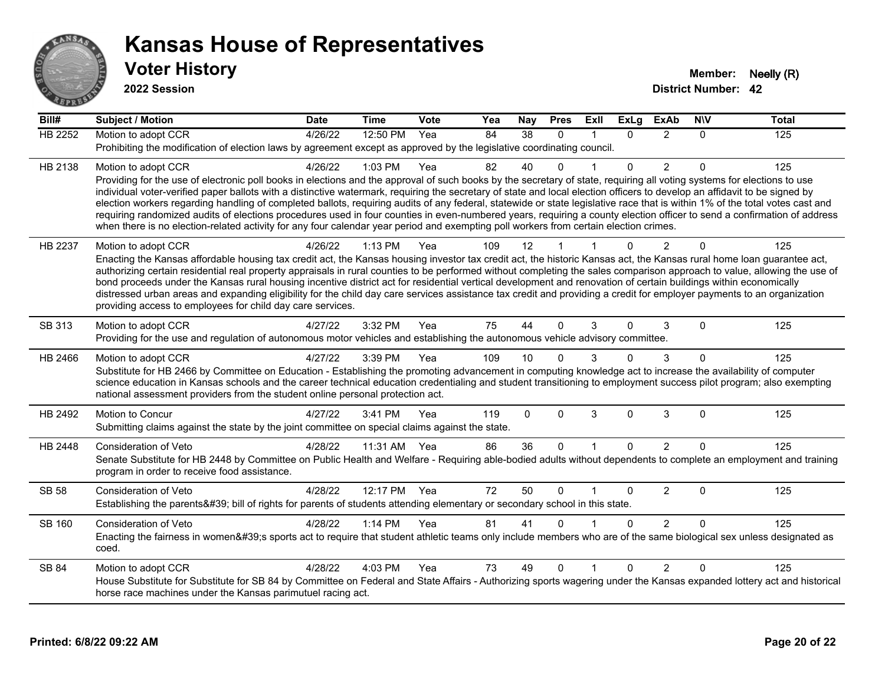

**2022 Session**

**Bill# Subject / Motion Date Time Vote Yea Nay Pres Exll ExLg ExAb N\V Total** HB 2252 Motion to adopt CCR 4/26/22 12:50 PM Yea 84 38 0 1 0 2 0 125 Prohibiting the modification of election laws by agreement except as approved by the legislative coordinating council. HB 2138 Motion to adopt CCR 4/26/22 1:03 PM Yea 82 40 0 1 0 2 0 125 Providing for the use of electronic poll books in elections and the approval of such books by the secretary of state, requiring all voting systems for elections to use individual voter-verified paper ballots with a distinctive watermark, requiring the secretary of state and local election officers to develop an affidavit to be signed by election workers regarding handling of completed ballots, requiring audits of any federal, statewide or state legislative race that is within 1% of the total votes cast and requiring randomized audits of elections procedures used in four counties in even-numbered years, requiring a county election officer to send a confirmation of address when there is no election-related activity for any four calendar year period and exempting poll workers from certain election crimes. HB 2237 Motion to adopt CCR 4/26/22 1:13 PM Yea 109 12 1 1 0 2 0 125 Enacting the Kansas affordable housing tax credit act, the Kansas housing investor tax credit act, the historic Kansas act, the Kansas rural home loan guarantee act, authorizing certain residential real property appraisals in rural counties to be performed without completing the sales comparison approach to value, allowing the use of bond proceeds under the Kansas rural housing incentive district act for residential vertical development and renovation of certain buildings within economically distressed urban areas and expanding eligibility for the child day care services assistance tax credit and providing a credit for employer payments to an organization providing access to employees for child day care services. SB 313 Motion to adopt CCR 4/27/22 3:32 PM Yea 75 44 0 3 0 3 0 125 Providing for the use and regulation of autonomous motor vehicles and establishing the autonomous vehicle advisory committee. HB 2466 Motion to adopt CCR 4/27/22 3:39 PM Yea 109 10 0 3 0 3 0 125 Substitute for HB 2466 by Committee on Education - Establishing the promoting advancement in computing knowledge act to increase the availability of computer science education in Kansas schools and the career technical education credentialing and student transitioning to employment success pilot program; also exempting national assessment providers from the student online personal protection act. HB 2492 Motion to Concur 4/27/22 3:41 PM Yea 119 0 0 3 0 3 0 125 Submitting claims against the state by the joint committee on special claims against the state. HB 2448 Consideration of Veto 4/28/22 11:31 AM Yea 86 36 0 1 0 2 0 125 Senate Substitute for HB 2448 by Committee on Public Health and Welfare - Requiring able-bodied adults without dependents to complete an employment and training program in order to receive food assistance. SB 58 Consideration of Veto **4/28/22 12:17 PM Yea** 72 50 0 1 0 2 0 125 Establishing the parents' bill of rights for parents of students attending elementary or secondary school in this state. SB 160 Consideration of Veto **4/28/22 1:14 PM Yea** 81 41 0 1 0 2 0 125 Enacting the fairness in women's sports act to require that student athletic teams only include members who are of the same biological sex unless designated as coed. SB 84 Motion to adopt CCR 4/28/22 4:03 PM Yea 73 49 0 1 0 2 0 125 House Substitute for Substitute for SB 84 by Committee on Federal and State Affairs - Authorizing sports wagering under the Kansas expanded lottery act and historical horse race machines under the Kansas parimutuel racing act.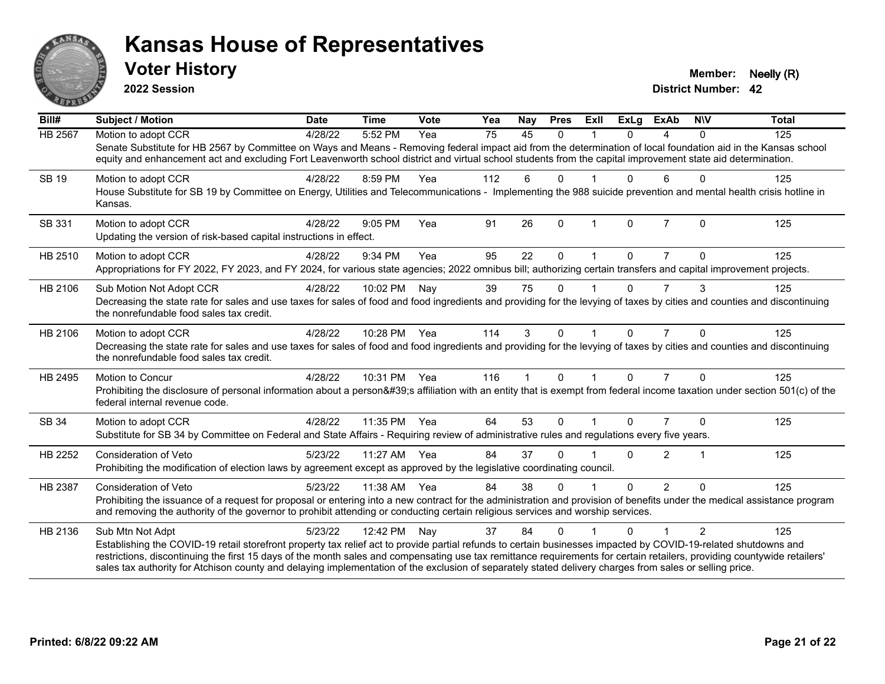

**2022 Session**

**District Number: 42 Voter History Member: Neelly (R)** 

| Bill#   | <b>Subject / Motion</b>                                                                                                                                                                                                                                                                                                             | <b>Date</b> | <b>Time</b>  | Vote | Yea | Nay | <b>Pres</b> | Exll | <b>ExLg</b> | <b>ExAb</b>    | <b>NIV</b>              | <b>Total</b> |
|---------|-------------------------------------------------------------------------------------------------------------------------------------------------------------------------------------------------------------------------------------------------------------------------------------------------------------------------------------|-------------|--------------|------|-----|-----|-------------|------|-------------|----------------|-------------------------|--------------|
| HB 2567 | Motion to adopt CCR                                                                                                                                                                                                                                                                                                                 | 4/28/22     | 5:52 PM      | Yea  | 75  | 45  | $\Omega$    |      | $\Omega$    | 4              | $\mathbf{0}$            | 125          |
|         | Senate Substitute for HB 2567 by Committee on Ways and Means - Removing federal impact aid from the determination of local foundation aid in the Kansas school<br>equity and enhancement act and excluding Fort Leavenworth school district and virtual school students from the capital improvement state aid determination.       |             |              |      |     |     |             |      |             |                |                         |              |
| SB 19   | Motion to adopt CCR                                                                                                                                                                                                                                                                                                                 | 4/28/22     | 8:59 PM      | Yea  | 112 | 6   | $\Omega$    |      | U           | 6              | $\Omega$                | 125          |
|         | House Substitute for SB 19 by Committee on Energy, Utilities and Telecommunications - Implementing the 988 suicide prevention and mental health crisis hotline in<br>Kansas.                                                                                                                                                        |             |              |      |     |     |             |      |             |                |                         |              |
| SB 331  | Motion to adopt CCR                                                                                                                                                                                                                                                                                                                 | 4/28/22     | 9:05 PM      | Yea  | 91  | 26  | $\Omega$    |      | $\Omega$    | $\overline{7}$ | $\Omega$                | 125          |
|         | Updating the version of risk-based capital instructions in effect.                                                                                                                                                                                                                                                                  |             |              |      |     |     |             |      |             |                |                         |              |
| HB 2510 | Motion to adopt CCR                                                                                                                                                                                                                                                                                                                 | 4/28/22     | 9:34 PM      | Yea  | 95  | 22  | 0           |      | 0           | $\overline{7}$ | $\Omega$                | 125          |
|         | Appropriations for FY 2022, FY 2023, and FY 2024, for various state agencies; 2022 omnibus bill; authorizing certain transfers and capital improvement projects.                                                                                                                                                                    |             |              |      |     |     |             |      |             |                |                         |              |
| HB 2106 | Sub Motion Not Adopt CCR                                                                                                                                                                                                                                                                                                            | 4/28/22     | 10:02 PM     | Nay  | 39  | 75  | $\Omega$    |      | 0           | 7              | 3                       | 125          |
|         | Decreasing the state rate for sales and use taxes for sales of food and food ingredients and providing for the levying of taxes by cities and counties and discontinuing<br>the nonrefundable food sales tax credit.                                                                                                                |             |              |      |     |     |             |      |             |                |                         |              |
| HB 2106 | Motion to adopt CCR                                                                                                                                                                                                                                                                                                                 | 4/28/22     | 10:28 PM Yea |      | 114 | 3   | $\Omega$    |      | $\Omega$    | $\overline{7}$ | $\Omega$                | 125          |
|         | Decreasing the state rate for sales and use taxes for sales of food and food ingredients and providing for the levying of taxes by cities and counties and discontinuing<br>the nonrefundable food sales tax credit.                                                                                                                |             |              |      |     |     |             |      |             |                |                         |              |
| HB 2495 | Motion to Concur                                                                                                                                                                                                                                                                                                                    | 4/28/22     | 10:31 PM     | Yea  | 116 | 1   | $\Omega$    |      | 0           | $\overline{7}$ | $\Omega$                | 125          |
|         | Prohibiting the disclosure of personal information about a person's affiliation with an entity that is exempt from federal income taxation under section 501(c) of the<br>federal internal revenue code.                                                                                                                            |             |              |      |     |     |             |      |             |                |                         |              |
| SB 34   | Motion to adopt CCR                                                                                                                                                                                                                                                                                                                 | 4/28/22     | 11:35 PM     | Yea  | 64  | 53  | $\Omega$    |      | 0           |                | $\Omega$                | 125          |
|         | Substitute for SB 34 by Committee on Federal and State Affairs - Requiring review of administrative rules and regulations every five years.                                                                                                                                                                                         |             |              |      |     |     |             |      |             |                |                         |              |
| HB 2252 | Consideration of Veto                                                                                                                                                                                                                                                                                                               | 5/23/22     | 11:27 AM Yea |      | 84  | 37  | 0           |      | $\Omega$    | $\overline{2}$ | $\overline{\mathbf{1}}$ | 125          |
|         | Prohibiting the modification of election laws by agreement except as approved by the legislative coordinating council.                                                                                                                                                                                                              |             |              |      |     |     |             |      |             |                |                         |              |
| HB 2387 | Consideration of Veto                                                                                                                                                                                                                                                                                                               | 5/23/22     | 11:38 AM     | Yea  | 84  | 38  | $\Omega$    |      | $\Omega$    | $\overline{2}$ | $\Omega$                | 125          |
|         | Prohibiting the issuance of a request for proposal or entering into a new contract for the administration and provision of benefits under the medical assistance program<br>and removing the authority of the governor to prohibit attending or conducting certain religious services and worship services.                         |             |              |      |     |     |             |      |             |                |                         |              |
| HB 2136 | Sub Mtn Not Adpt                                                                                                                                                                                                                                                                                                                    | 5/23/22     | 12:42 PM     | Nay  | 37  | 84  | $\Omega$    |      | $\Omega$    |                | 2                       | 125          |
|         | Establishing the COVID-19 retail storefront property tax relief act to provide partial refunds to certain businesses impacted by COVID-19-related shutdowns and                                                                                                                                                                     |             |              |      |     |     |             |      |             |                |                         |              |
|         | restrictions, discontinuing the first 15 days of the month sales and compensating use tax remittance requirements for certain retailers, providing countywide retailers'<br>sales tax authority for Atchison county and delaying implementation of the exclusion of separately stated delivery charges from sales or selling price. |             |              |      |     |     |             |      |             |                |                         |              |